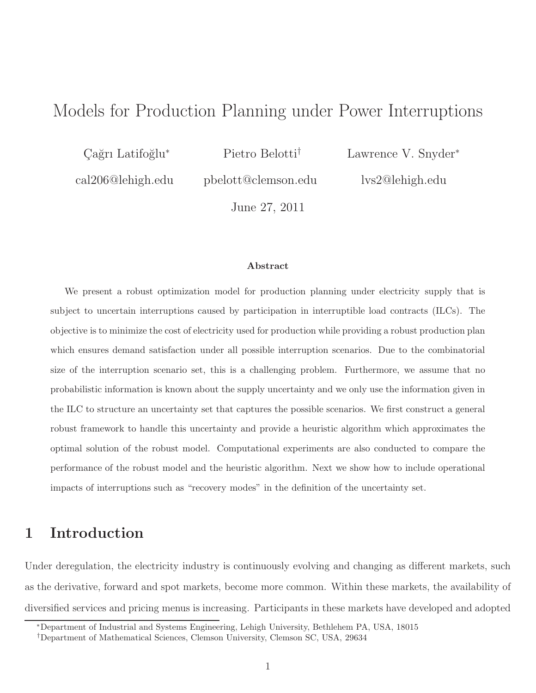# Models for Production Planning under Power Interruptions

Cağrı Latifoğlu<sup>∗</sup>

Pietro Belotti†

cal206@lehigh.edu

pbelott@clemson.edu

Lawrence V. Snyder<sup>∗</sup>

lvs2@lehigh.edu

June 27, 2011

#### Abstract

We present a robust optimization model for production planning under electricity supply that is subject to uncertain interruptions caused by participation in interruptible load contracts (ILCs). The objective is to minimize the cost of electricity used for production while providing a robust production plan which ensures demand satisfaction under all possible interruption scenarios. Due to the combinatorial size of the interruption scenario set, this is a challenging problem. Furthermore, we assume that no probabilistic information is known about the supply uncertainty and we only use the information given in the ILC to structure an uncertainty set that captures the possible scenarios. We first construct a general robust framework to handle this uncertainty and provide a heuristic algorithm which approximates the optimal solution of the robust model. Computational experiments are also conducted to compare the performance of the robust model and the heuristic algorithm. Next we show how to include operational impacts of interruptions such as "recovery modes" in the definition of the uncertainty set.

## 1 Introduction

Under deregulation, the electricity industry is continuously evolving and changing as different markets, such as the derivative, forward and spot markets, become more common. Within these markets, the availability of diversified services and pricing menus is increasing. Participants in these markets have developed and adopted

<sup>∗</sup>Department of Industrial and Systems Engineering, Lehigh University, Bethlehem PA, USA, 18015

<sup>†</sup>Department of Mathematical Sciences, Clemson University, Clemson SC, USA, 29634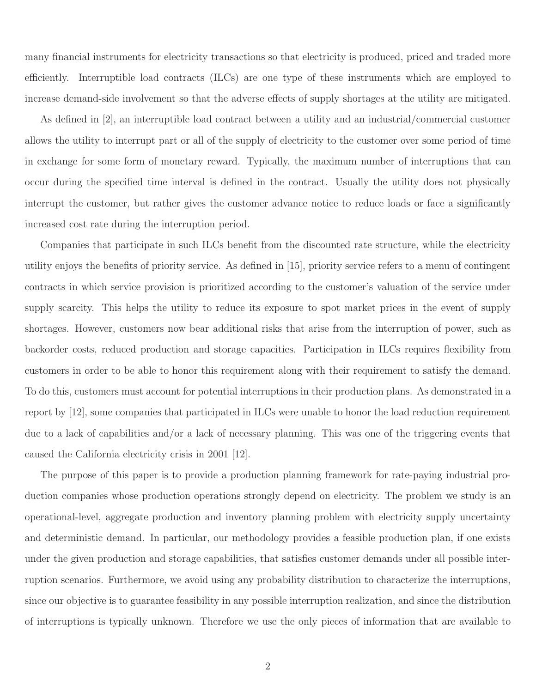many financial instruments for electricity transactions so that electricity is produced, priced and traded more efficiently. Interruptible load contracts (ILCs) are one type of these instruments which are employed to increase demand-side involvement so that the adverse effects of supply shortages at the utility are mitigated.

As defined in [2], an interruptible load contract between a utility and an industrial/commercial customer allows the utility to interrupt part or all of the supply of electricity to the customer over some period of time in exchange for some form of monetary reward. Typically, the maximum number of interruptions that can occur during the specified time interval is defined in the contract. Usually the utility does not physically interrupt the customer, but rather gives the customer advance notice to reduce loads or face a significantly increased cost rate during the interruption period.

Companies that participate in such ILCs benefit from the discounted rate structure, while the electricity utility enjoys the benefits of priority service. As defined in [15], priority service refers to a menu of contingent contracts in which service provision is prioritized according to the customer's valuation of the service under supply scarcity. This helps the utility to reduce its exposure to spot market prices in the event of supply shortages. However, customers now bear additional risks that arise from the interruption of power, such as backorder costs, reduced production and storage capacities. Participation in ILCs requires flexibility from customers in order to be able to honor this requirement along with their requirement to satisfy the demand. To do this, customers must account for potential interruptions in their production plans. As demonstrated in a report by [12], some companies that participated in ILCs were unable to honor the load reduction requirement due to a lack of capabilities and/or a lack of necessary planning. This was one of the triggering events that caused the California electricity crisis in 2001 [12].

The purpose of this paper is to provide a production planning framework for rate-paying industrial production companies whose production operations strongly depend on electricity. The problem we study is an operational-level, aggregate production and inventory planning problem with electricity supply uncertainty and deterministic demand. In particular, our methodology provides a feasible production plan, if one exists under the given production and storage capabilities, that satisfies customer demands under all possible interruption scenarios. Furthermore, we avoid using any probability distribution to characterize the interruptions, since our objective is to guarantee feasibility in any possible interruption realization, and since the distribution of interruptions is typically unknown. Therefore we use the only pieces of information that are available to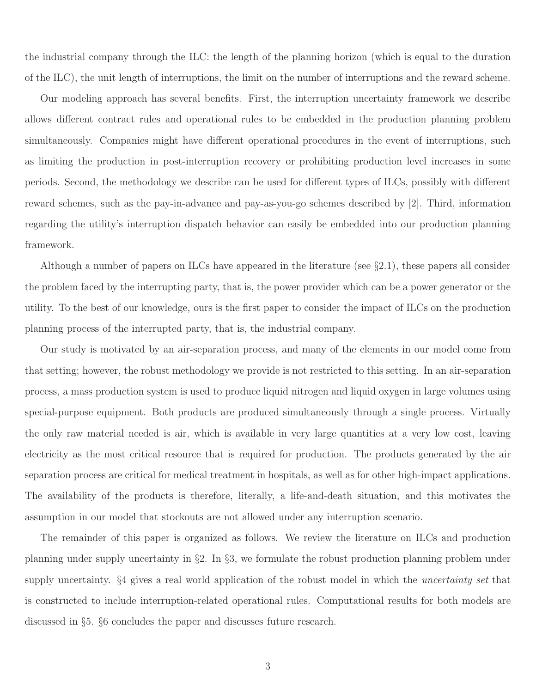the industrial company through the ILC: the length of the planning horizon (which is equal to the duration of the ILC), the unit length of interruptions, the limit on the number of interruptions and the reward scheme.

Our modeling approach has several benefits. First, the interruption uncertainty framework we describe allows different contract rules and operational rules to be embedded in the production planning problem simultaneously. Companies might have different operational procedures in the event of interruptions, such as limiting the production in post-interruption recovery or prohibiting production level increases in some periods. Second, the methodology we describe can be used for different types of ILCs, possibly with different reward schemes, such as the pay-in-advance and pay-as-you-go schemes described by [2]. Third, information regarding the utility's interruption dispatch behavior can easily be embedded into our production planning framework.

Although a number of papers on ILCs have appeared in the literature (see §2.1), these papers all consider the problem faced by the interrupting party, that is, the power provider which can be a power generator or the utility. To the best of our knowledge, ours is the first paper to consider the impact of ILCs on the production planning process of the interrupted party, that is, the industrial company.

Our study is motivated by an air-separation process, and many of the elements in our model come from that setting; however, the robust methodology we provide is not restricted to this setting. In an air-separation process, a mass production system is used to produce liquid nitrogen and liquid oxygen in large volumes using special-purpose equipment. Both products are produced simultaneously through a single process. Virtually the only raw material needed is air, which is available in very large quantities at a very low cost, leaving electricity as the most critical resource that is required for production. The products generated by the air separation process are critical for medical treatment in hospitals, as well as for other high-impact applications. The availability of the products is therefore, literally, a life-and-death situation, and this motivates the assumption in our model that stockouts are not allowed under any interruption scenario.

The remainder of this paper is organized as follows. We review the literature on ILCs and production planning under supply uncertainty in §2. In §3, we formulate the robust production planning problem under supply uncertainty. §4 gives a real world application of the robust model in which the *uncertainty set* that is constructed to include interruption-related operational rules. Computational results for both models are discussed in §5. §6 concludes the paper and discusses future research.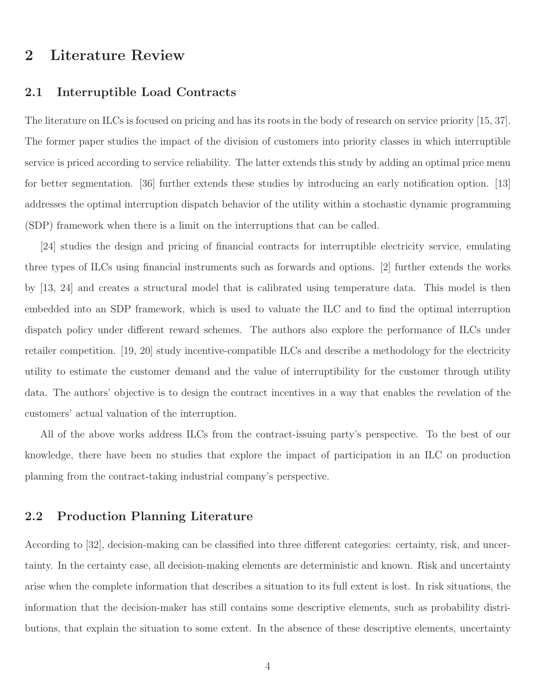## 2 Literature Review

### 2.1 Interruptible Load Contracts

The literature on ILCs is focused on pricing and has its roots in the body of research on service priority [15, 37]. The former paper studies the impact of the division of customers into priority classes in which interruptible service is priced according to service reliability. The latter extends this study by adding an optimal price menu for better segmentation. [36] further extends these studies by introducing an early notification option. [13] addresses the optimal interruption dispatch behavior of the utility within a stochastic dynamic programming (SDP) framework when there is a limit on the interruptions that can be called.

[24] studies the design and pricing of financial contracts for interruptible electricity service, emulating three types of ILCs using financial instruments such as forwards and options. [2] further extends the works by [13, 24] and creates a structural model that is calibrated using temperature data. This model is then embedded into an SDP framework, which is used to valuate the ILC and to find the optimal interruption dispatch policy under different reward schemes. The authors also explore the performance of ILCs under retailer competition. [19, 20] study incentive-compatible ILCs and describe a methodology for the electricity utility to estimate the customer demand and the value of interruptibility for the customer through utility data. The authors' objective is to design the contract incentives in a way that enables the revelation of the customers' actual valuation of the interruption.

All of the above works address ILCs from the contract-issuing party's perspective. To the best of our knowledge, there have been no studies that explore the impact of participation in an ILC on production planning from the contract-taking industrial company's perspective.

### 2.2 Production Planning Literature

According to [32], decision-making can be classified into three different categories: certainty, risk, and uncertainty. In the certainty case, all decision-making elements are deterministic and known. Risk and uncertainty arise when the complete information that describes a situation to its full extent is lost. In risk situations, the information that the decision-maker has still contains some descriptive elements, such as probability distributions, that explain the situation to some extent. In the absence of these descriptive elements, uncertainty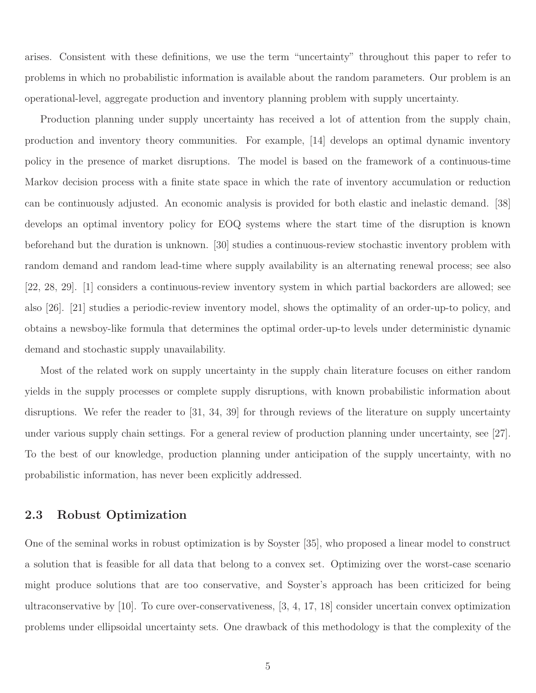arises. Consistent with these definitions, we use the term "uncertainty" throughout this paper to refer to problems in which no probabilistic information is available about the random parameters. Our problem is an operational-level, aggregate production and inventory planning problem with supply uncertainty.

Production planning under supply uncertainty has received a lot of attention from the supply chain, production and inventory theory communities. For example, [14] develops an optimal dynamic inventory policy in the presence of market disruptions. The model is based on the framework of a continuous-time Markov decision process with a finite state space in which the rate of inventory accumulation or reduction can be continuously adjusted. An economic analysis is provided for both elastic and inelastic demand. [38] develops an optimal inventory policy for EOQ systems where the start time of the disruption is known beforehand but the duration is unknown. [30] studies a continuous-review stochastic inventory problem with random demand and random lead-time where supply availability is an alternating renewal process; see also [22, 28, 29]. [1] considers a continuous-review inventory system in which partial backorders are allowed; see also [26]. [21] studies a periodic-review inventory model, shows the optimality of an order-up-to policy, and obtains a newsboy-like formula that determines the optimal order-up-to levels under deterministic dynamic demand and stochastic supply unavailability.

Most of the related work on supply uncertainty in the supply chain literature focuses on either random yields in the supply processes or complete supply disruptions, with known probabilistic information about disruptions. We refer the reader to [31, 34, 39] for through reviews of the literature on supply uncertainty under various supply chain settings. For a general review of production planning under uncertainty, see [27]. To the best of our knowledge, production planning under anticipation of the supply uncertainty, with no probabilistic information, has never been explicitly addressed.

### 2.3 Robust Optimization

One of the seminal works in robust optimization is by Soyster [35], who proposed a linear model to construct a solution that is feasible for all data that belong to a convex set. Optimizing over the worst-case scenario might produce solutions that are too conservative, and Soyster's approach has been criticized for being ultraconservative by [10]. To cure over-conservativeness, [3, 4, 17, 18] consider uncertain convex optimization problems under ellipsoidal uncertainty sets. One drawback of this methodology is that the complexity of the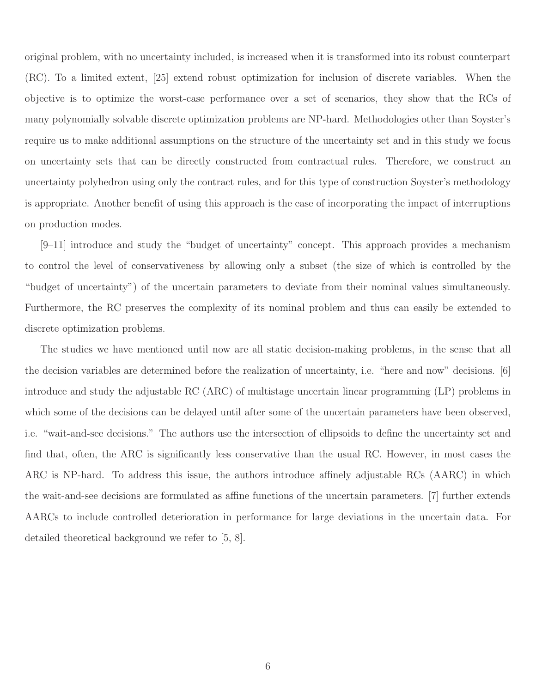original problem, with no uncertainty included, is increased when it is transformed into its robust counterpart (RC). To a limited extent, [25] extend robust optimization for inclusion of discrete variables. When the objective is to optimize the worst-case performance over a set of scenarios, they show that the RCs of many polynomially solvable discrete optimization problems are NP-hard. Methodologies other than Soyster's require us to make additional assumptions on the structure of the uncertainty set and in this study we focus on uncertainty sets that can be directly constructed from contractual rules. Therefore, we construct an uncertainty polyhedron using only the contract rules, and for this type of construction Soyster's methodology is appropriate. Another benefit of using this approach is the ease of incorporating the impact of interruptions on production modes.

[9–11] introduce and study the "budget of uncertainty" concept. This approach provides a mechanism to control the level of conservativeness by allowing only a subset (the size of which is controlled by the "budget of uncertainty") of the uncertain parameters to deviate from their nominal values simultaneously. Furthermore, the RC preserves the complexity of its nominal problem and thus can easily be extended to discrete optimization problems.

The studies we have mentioned until now are all static decision-making problems, in the sense that all the decision variables are determined before the realization of uncertainty, i.e. "here and now" decisions. [6] introduce and study the adjustable RC (ARC) of multistage uncertain linear programming (LP) problems in which some of the decisions can be delayed until after some of the uncertain parameters have been observed, i.e. "wait-and-see decisions." The authors use the intersection of ellipsoids to define the uncertainty set and find that, often, the ARC is significantly less conservative than the usual RC. However, in most cases the ARC is NP-hard. To address this issue, the authors introduce affinely adjustable RCs (AARC) in which the wait-and-see decisions are formulated as affine functions of the uncertain parameters. [7] further extends AARCs to include controlled deterioration in performance for large deviations in the uncertain data. For detailed theoretical background we refer to [5, 8].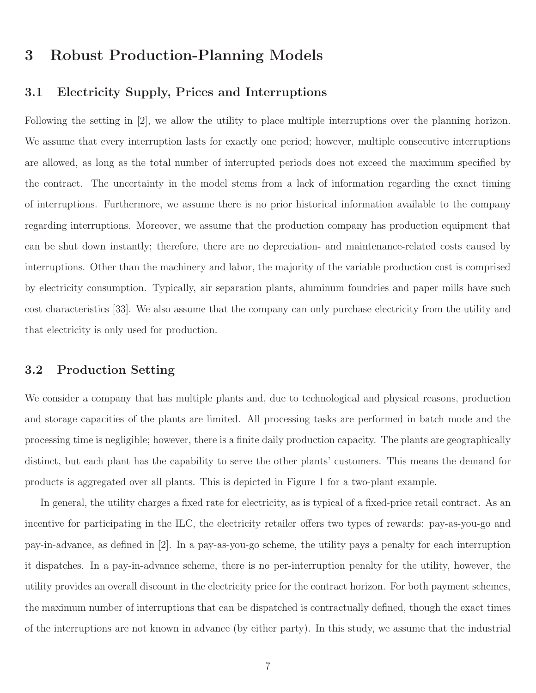## 3 Robust Production-Planning Models

## 3.1 Electricity Supply, Prices and Interruptions

Following the setting in [2], we allow the utility to place multiple interruptions over the planning horizon. We assume that every interruption lasts for exactly one period; however, multiple consecutive interruptions are allowed, as long as the total number of interrupted periods does not exceed the maximum specified by the contract. The uncertainty in the model stems from a lack of information regarding the exact timing of interruptions. Furthermore, we assume there is no prior historical information available to the company regarding interruptions. Moreover, we assume that the production company has production equipment that can be shut down instantly; therefore, there are no depreciation- and maintenance-related costs caused by interruptions. Other than the machinery and labor, the majority of the variable production cost is comprised by electricity consumption. Typically, air separation plants, aluminum foundries and paper mills have such cost characteristics [33]. We also assume that the company can only purchase electricity from the utility and that electricity is only used for production.

### 3.2 Production Setting

We consider a company that has multiple plants and, due to technological and physical reasons, production and storage capacities of the plants are limited. All processing tasks are performed in batch mode and the processing time is negligible; however, there is a finite daily production capacity. The plants are geographically distinct, but each plant has the capability to serve the other plants' customers. This means the demand for products is aggregated over all plants. This is depicted in Figure 1 for a two-plant example.

In general, the utility charges a fixed rate for electricity, as is typical of a fixed-price retail contract. As an incentive for participating in the ILC, the electricity retailer offers two types of rewards: pay-as-you-go and pay-in-advance, as defined in [2]. In a pay-as-you-go scheme, the utility pays a penalty for each interruption it dispatches. In a pay-in-advance scheme, there is no per-interruption penalty for the utility, however, the utility provides an overall discount in the electricity price for the contract horizon. For both payment schemes, the maximum number of interruptions that can be dispatched is contractually defined, though the exact times of the interruptions are not known in advance (by either party). In this study, we assume that the industrial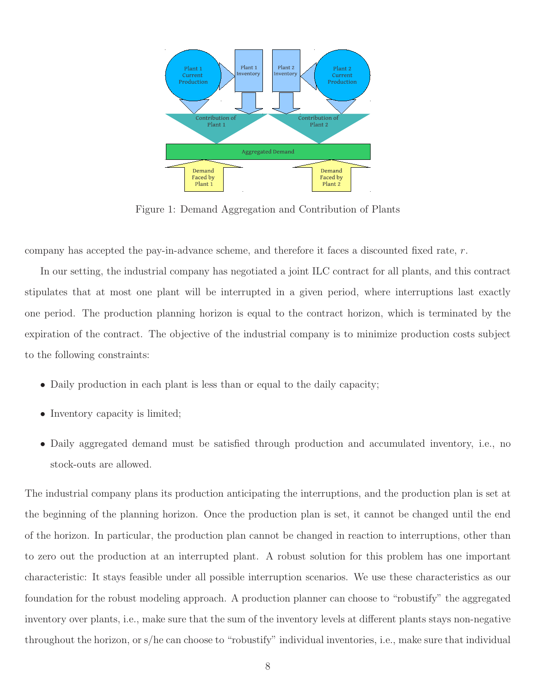

Figure 1: Demand Aggregation and Contribution of Plants

company has accepted the pay-in-advance scheme, and therefore it faces a discounted fixed rate, r.

In our setting, the industrial company has negotiated a joint ILC contract for all plants, and this contract stipulates that at most one plant will be interrupted in a given period, where interruptions last exactly one period. The production planning horizon is equal to the contract horizon, which is terminated by the expiration of the contract. The objective of the industrial company is to minimize production costs subject to the following constraints:

- Daily production in each plant is less than or equal to the daily capacity;
- Inventory capacity is limited;
- Daily aggregated demand must be satisfied through production and accumulated inventory, i.e., no stock-outs are allowed.

The industrial company plans its production anticipating the interruptions, and the production plan is set at the beginning of the planning horizon. Once the production plan is set, it cannot be changed until the end of the horizon. In particular, the production plan cannot be changed in reaction to interruptions, other than to zero out the production at an interrupted plant. A robust solution for this problem has one important characteristic: It stays feasible under all possible interruption scenarios. We use these characteristics as our foundation for the robust modeling approach. A production planner can choose to "robustify" the aggregated inventory over plants, i.e., make sure that the sum of the inventory levels at different plants stays non-negative throughout the horizon, or s/he can choose to "robustify" individual inventories, i.e., make sure that individual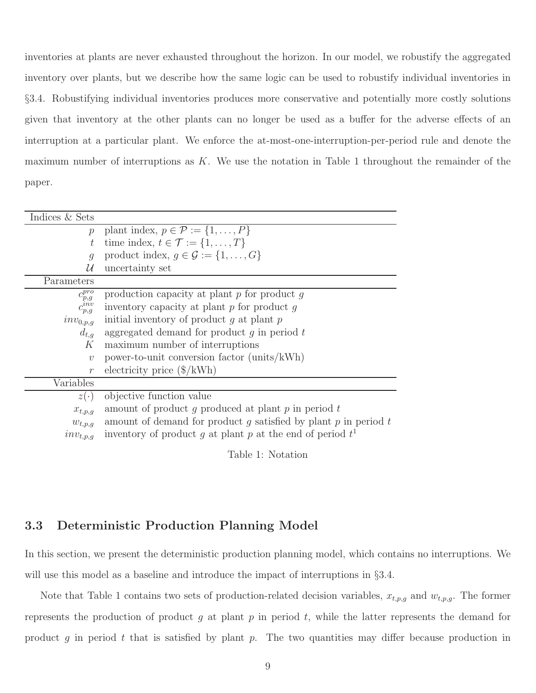inventories at plants are never exhausted throughout the horizon. In our model, we robustify the aggregated inventory over plants, but we describe how the same logic can be used to robustify individual inventories in §3.4. Robustifying individual inventories produces more conservative and potentially more costly solutions given that inventory at the other plants can no longer be used as a buffer for the adverse effects of an interruption at a particular plant. We enforce the at-most-one-interruption-per-period rule and denote the maximum number of interruptions as K. We use the notation in Table 1 throughout the remainder of the paper.

| Indices & Sets                                               |                                                                     |
|--------------------------------------------------------------|---------------------------------------------------------------------|
| $\mathcal{D}$                                                | plant index, $p \in \mathcal{P} := \{1, \ldots, P\}$                |
| $t\,$                                                        | time index, $t \in \mathcal{T} := \{1, \ldots, T\}$                 |
| $\boldsymbol{q}$                                             | product index, $g \in \mathcal{G} := \{1, \ldots, G\}$              |
| U                                                            | uncertainty set                                                     |
| Parameters                                                   |                                                                     |
|                                                              | production capacity at plant $p$ for product $q$                    |
| $\begin{array}{c} c^{pro}_{p,g}\\ c^{inv}_{p,g} \end{array}$ | inventory capacity at plant $p$ for product $q$                     |
| $inv_{0,p,g}$                                                | initial inventory of product $q$ at plant $p$                       |
| $d_{t,q}$                                                    | aggregated demand for product $g$ in period $t$                     |
| K                                                            | maximum number of interruptions                                     |
| $\upsilon$                                                   | power-to-unit conversion factor (units/kWh)                         |
| $\mathcal{r}$                                                | electricity price $(\frac{1}{8} / \mathrm{kWh})$                    |
| Variables                                                    |                                                                     |
| $z(\cdot)$                                                   | objective function value                                            |
| $x_{t,p,g}$                                                  | amount of product g produced at plant $p$ in period $t$             |
| $w_{t,p,g}$                                                  | amount of demand for product g satisfied by plant $p$ in period $t$ |
| $inv_{t,p,q}$                                                | inventory of product g at plant p at the end of period $t^1$        |

Table 1: Notation

### 3.3 Deterministic Production Planning Model

In this section, we present the deterministic production planning model, which contains no interruptions. We will use this model as a baseline and introduce the impact of interruptions in  $\S 3.4$ .

Note that Table 1 contains two sets of production-related decision variables,  $x_{t,p,g}$  and  $w_{t,p,g}$ . The former represents the production of product g at plant p in period t, while the latter represents the demand for product g in period t that is satisfied by plant p. The two quantities may differ because production in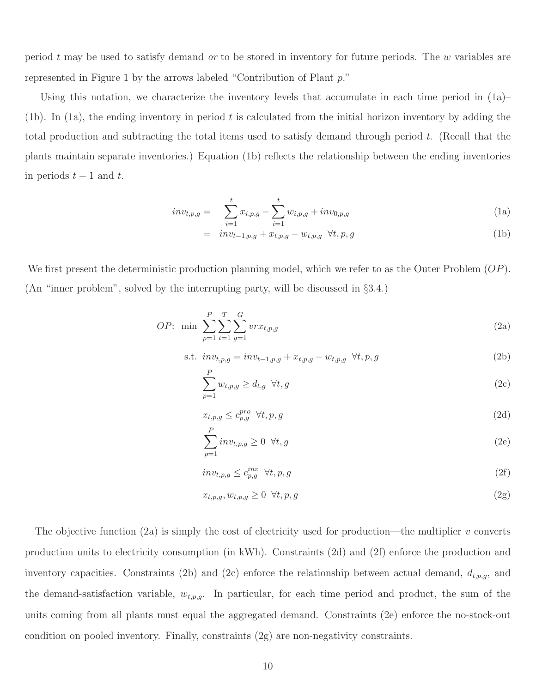period t may be used to satisfy demand *or* to be stored in inventory for future periods. The w variables are represented in Figure 1 by the arrows labeled "Contribution of Plant p."

Using this notation, we characterize the inventory levels that accumulate in each time period in  $(1a)$ – (1b). In (1a), the ending inventory in period  $t$  is calculated from the initial horizon inventory by adding the total production and subtracting the total items used to satisfy demand through period t. (Recall that the plants maintain separate inventories.) Equation (1b) reflects the relationship between the ending inventories in periods  $t - 1$  and  $t$ .

$$
inv_{t,p,g} = \sum_{i=1}^{t} x_{i,p,g} - \sum_{i=1}^{t} w_{i,p,g} + inv_{0,p,g}
$$
 (1a)

$$
= inv_{t-1,p,g} + x_{t,p,g} - w_{t,p,g} \forall t, p, g
$$
\n(1b)

We first present the deterministic production planning model, which we refer to as the Outer Problem  $OP$ ). (An "inner problem", solved by the interrupting party, will be discussed in §3.4.)

*OP*: min 
$$
\sum_{p=1}^{P} \sum_{t=1}^{T} \sum_{g=1}^{G} vrx_{t,p,g}
$$
 (2a)

s.t. 
$$
inv_{t,p,g} = inv_{t-1,p,g} + x_{t,p,g} - w_{t,p,g} \ \forall t, p, g
$$
 (2b)

$$
\sum_{p=1}^{P} w_{t,p,g} \ge d_{t,g} \quad \forall t,g \tag{2c}
$$

$$
x_{t,p,g} \le c_{p,g}^{pro} \forall t, p, g \tag{2d}
$$

$$
\sum_{p=1}^{P} inv_{t,p,g} \ge 0 \quad \forall t,g \tag{2e}
$$

$$
inv_{t,p,g} \le c_{p,g}^{inv} \ \forall t, p, g \tag{2f}
$$

$$
x_{t,p,g}, w_{t,p,g} \ge 0 \quad \forall t, p, g \tag{2g}
$$

The objective function (2a) is simply the cost of electricity used for production—the multiplier  $v$  converts production units to electricity consumption (in kWh). Constraints (2d) and (2f) enforce the production and inventory capacities. Constraints (2b) and (2c) enforce the relationship between actual demand,  $d_{t,p,g}$ , and the demand-satisfaction variable,  $w_{t,p,g}$ . In particular, for each time period and product, the sum of the units coming from all plants must equal the aggregated demand. Constraints (2e) enforce the no-stock-out condition on pooled inventory. Finally, constraints (2g) are non-negativity constraints.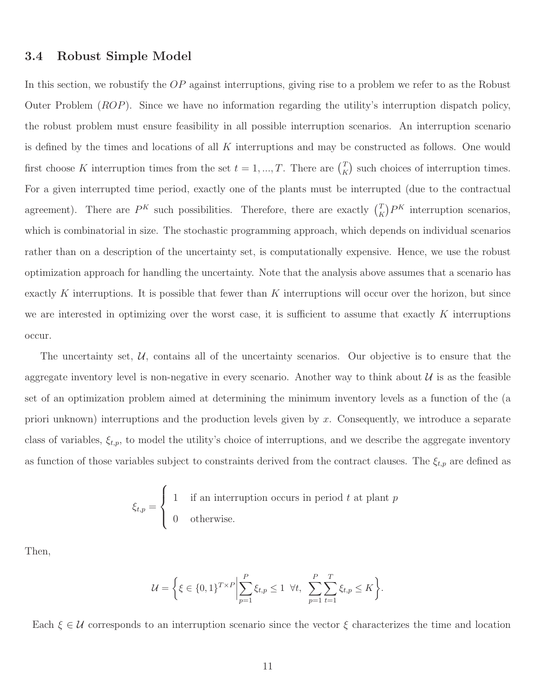#### 3.4 Robust Simple Model

In this section, we robustify the OP against interruptions, giving rise to a problem we refer to as the Robust Outer Problem (ROP). Since we have no information regarding the utility's interruption dispatch policy, the robust problem must ensure feasibility in all possible interruption scenarios. An interruption scenario is defined by the times and locations of all K interruptions and may be constructed as follows. One would first choose K interruption times from the set  $t = 1, ..., T$ . There are  $\binom{T}{k}$  $K \choose K$  such choices of interruption times. For a given interrupted time period, exactly one of the plants must be interrupted (due to the contractual agreement). There are  $P^{K}$  such possibilities. Therefore, there are exactly  $\binom{T_{K}}{K}$  $K \n F_K$  interruption scenarios, which is combinatorial in size. The stochastic programming approach, which depends on individual scenarios rather than on a description of the uncertainty set, is computationally expensive. Hence, we use the robust optimization approach for handling the uncertainty. Note that the analysis above assumes that a scenario has exactly K interruptions. It is possible that fewer than K interruptions will occur over the horizon, but since we are interested in optimizing over the worst case, it is sufficient to assume that exactly  $K$  interruptions occur.

The uncertainty set,  $U$ , contains all of the uncertainty scenarios. Our objective is to ensure that the aggregate inventory level is non-negative in every scenario. Another way to think about  $\mathcal{U}$  is as the feasible set of an optimization problem aimed at determining the minimum inventory levels as a function of the (a priori unknown) interruptions and the production levels given by x. Consequently, we introduce a separate class of variables,  $\xi_{t,p}$ , to model the utility's choice of interruptions, and we describe the aggregate inventory as function of those variables subject to constraints derived from the contract clauses. The  $\xi_{t,p}$  are defined as

$$
\xi_{t,p} = \begin{cases} 1 & \text{if an interruption occurs in period } t \text{ at plant } p \\ 0 & \text{otherwise.} \end{cases}
$$

Then,

$$
\mathcal{U} = \left\{ \xi \in \{0,1\}^{T \times P} \Big| \sum_{p=1}^{P} \xi_{t,p} \le 1 \ \forall t, \ \sum_{p=1}^{P} \sum_{t=1}^{T} \xi_{t,p} \le K \right\}.
$$

Each  $\xi \in \mathcal{U}$  corresponds to an interruption scenario since the vector  $\xi$  characterizes the time and location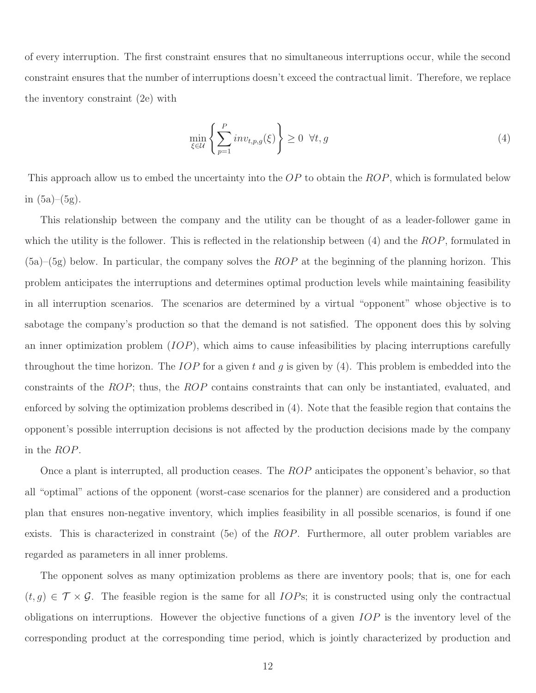of every interruption. The first constraint ensures that no simultaneous interruptions occur, while the second constraint ensures that the number of interruptions doesn't exceed the contractual limit. Therefore, we replace the inventory constraint (2e) with

$$
\min_{\xi \in \mathcal{U}} \left\{ \sum_{p=1}^{P} inv_{t,p,g}(\xi) \right\} \ge 0 \quad \forall t, g \tag{4}
$$

This approach allow us to embed the uncertainty into the OP to obtain the ROP, which is formulated below in  $(5a)–(5g)$ .

This relationship between the company and the utility can be thought of as a leader-follower game in which the utility is the follower. This is reflected in the relationship between  $(4)$  and the  $ROP$ , formulated in  $(5a)$ – $(5g)$  below. In particular, the company solves the ROP at the beginning of the planning horizon. This problem anticipates the interruptions and determines optimal production levels while maintaining feasibility in all interruption scenarios. The scenarios are determined by a virtual "opponent" whose objective is to sabotage the company's production so that the demand is not satisfied. The opponent does this by solving an inner optimization problem  $(IOP)$ , which aims to cause infeasibilities by placing interruptions carefully throughout the time horizon. The IOP for a given t and q is given by  $(4)$ . This problem is embedded into the constraints of the ROP; thus, the ROP contains constraints that can only be instantiated, evaluated, and enforced by solving the optimization problems described in (4). Note that the feasible region that contains the opponent's possible interruption decisions is not affected by the production decisions made by the company in the ROP.

Once a plant is interrupted, all production ceases. The ROP anticipates the opponent's behavior, so that all "optimal" actions of the opponent (worst-case scenarios for the planner) are considered and a production plan that ensures non-negative inventory, which implies feasibility in all possible scenarios, is found if one exists. This is characterized in constraint (5e) of the ROP. Furthermore, all outer problem variables are regarded as parameters in all inner problems.

The opponent solves as many optimization problems as there are inventory pools; that is, one for each  $(t, g) \in \mathcal{T} \times \mathcal{G}$ . The feasible region is the same for all *IOPs*; it is constructed using only the contractual obligations on interruptions. However the objective functions of a given IOP is the inventory level of the corresponding product at the corresponding time period, which is jointly characterized by production and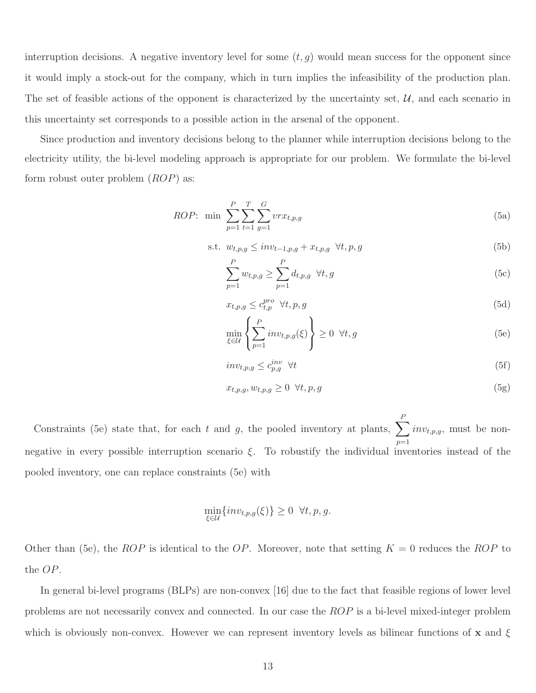interruption decisions. A negative inventory level for some  $(t, g)$  would mean success for the opponent since it would imply a stock-out for the company, which in turn implies the infeasibility of the production plan. The set of feasible actions of the opponent is characterized by the uncertainty set,  $\mathcal{U}$ , and each scenario in this uncertainty set corresponds to a possible action in the arsenal of the opponent.

Since production and inventory decisions belong to the planner while interruption decisions belong to the electricity utility, the bi-level modeling approach is appropriate for our problem. We formulate the bi-level form robust outer problem  $(ROP)$  as:

*ROP*: min 
$$
\sum_{p=1}^{P} \sum_{t=1}^{T} \sum_{g=1}^{G} vrx_{t,p,g}
$$
 (5a)

$$
\text{s.t. } w_{t,p,g} \leq inv_{t-1,p,g} + x_{t,p,g} \quad \forall t, p, g \tag{5b}
$$

$$
\sum_{p=1}^{P} w_{t,p,g} \ge \sum_{p=1}^{P} d_{t,p,g} \quad \forall t,g \tag{5c}
$$

$$
x_{t,p,g} \le c_{t,p}^{pro} \ \forall t, p, g \tag{5d}
$$

$$
\min_{\xi \in \mathcal{U}} \left\{ \sum_{p=1}^{P} inv_{t,p,g}(\xi) \right\} \ge 0 \ \forall t, g \tag{5e}
$$

$$
inv_{t,p,g} \le c_{p,g}^{inv} \quad \forall t \tag{5f}
$$

$$
x_{t,p,g}, w_{t,p,g} \ge 0 \quad \forall t, p, g \tag{5g}
$$

Constraints (5e) state that, for each t and g, the pooled inventory at plants,  $\sum$ P  $p=1$  $inv_{t,p,g}$ , must be nonnegative in every possible interruption scenario  $\xi$ . To robustify the individual inventories instead of the pooled inventory, one can replace constraints (5e) with

$$
\min_{\xi \in \mathcal{U}} \{inv_{t,p,g}(\xi)\} \ge 0 \quad \forall t, p, g.
$$

Other than (5e), the ROP is identical to the OP. Moreover, note that setting  $K = 0$  reduces the ROP to the OP.

In general bi-level programs (BLPs) are non-convex [16] due to the fact that feasible regions of lower level problems are not necessarily convex and connected. In our case the ROP is a bi-level mixed-integer problem which is obviously non-convex. However we can represent inventory levels as bilinear functions of x and  $\xi$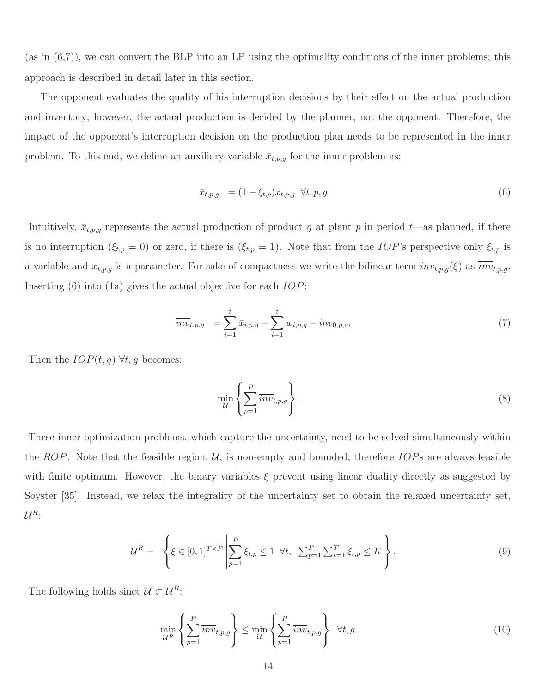(as in (6,7)), we can convert the BLP into an LP using the optimality conditions of the inner problems; this approach is described in detail later in this section.

The opponent evaluates the quality of his interruption decisions by their effect on the actual production and inventory; however, the actual production is decided by the planner, not the opponent. Therefore, the impact of the opponent's interruption decision on the production plan needs to be represented in the inner problem. To this end, we define an auxiliary variable  $\bar{x}_{t,p,g}$  for the inner problem as:

$$
\bar{x}_{t,p,g} = (1 - \xi_{t,p})x_{t,p,g} \quad \forall t, p, g \tag{6}
$$

Intuitively,  $\bar{x}_{t,p,g}$  represents the actual production of product g at plant p in period t—as planned, if there is no interruption ( $\xi_{t,p} = 0$ ) or zero, if there is ( $\xi_{t,p} = 1$ ). Note that from the *IOP*'s perspective only  $\xi_{t,p}$  is a variable and  $x_{t,p,g}$  is a parameter. For sake of compactness we write the bilinear term  $inv_{t,p,g}(\xi)$  as  $\overline{inv}_{t,p,g}$ . Inserting (6) into (1a) gives the actual objective for each *IOP*:

$$
\overline{inv}_{t,p,g} = \sum_{i=1}^{t} \bar{x}_{i,p,g} - \sum_{i=1}^{t} w_{i,p,g} + inv_{0,p,g}.
$$
\n(7)

Then the  $IOP(t, g) \forall t, g$  becomes:

$$
\min_{\mathcal{U}} \left\{ \sum_{p=1}^{P} \overline{inv}_{t,p,g} \right\} . \tag{8}
$$

These inner optimization problems, which capture the uncertainty, need to be solved simultaneously within the ROP. Note that the feasible region,  $U$ , is non-empty and bounded; therefore IOPs are always feasible with finite optimum. However, the binary variables  $\xi$  prevent using linear duality directly as suggested by Soyster [35]. Instead, we relax the integrality of the uncertainty set to obtain the relaxed uncertainty set,  $\mathcal{U}^R$ :

$$
\mathcal{U}^R = \left\{ \xi \in [0,1]^{T \times P} \middle| \sum_{p=1}^P \xi_{t,p} \le 1 \ \forall t, \ \sum_{p=1}^P \sum_{t=1}^T \xi_{t,p} \le K \right\}.
$$
\n
$$
(9)
$$

The following holds since  $\mathcal{U} \subset \mathcal{U}^R$ :

$$
\min_{\mathcal{U}^R} \left\{ \sum_{p=1}^P \overline{inv}_{t,p,g} \right\} \le \min_{\mathcal{U}} \left\{ \sum_{p=1}^P \overline{inv}_{t,p,g} \right\} \ \ \forall t,g. \tag{10}
$$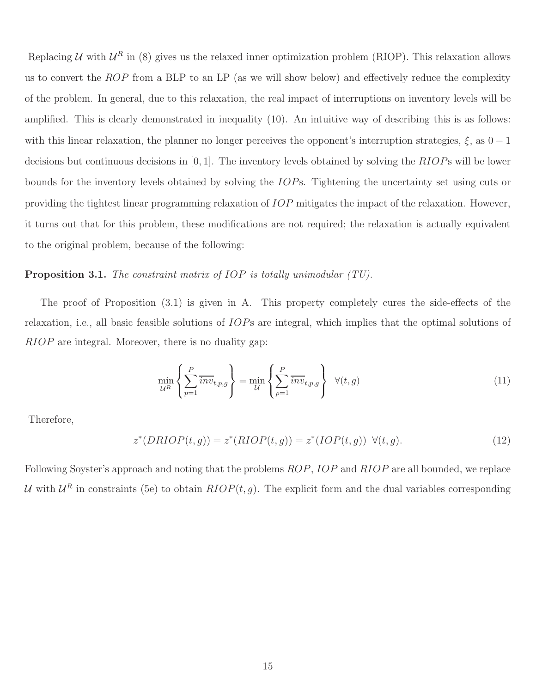Replacing U with  $U^R$  in (8) gives us the relaxed inner optimization problem (RIOP). This relaxation allows us to convert the ROP from a BLP to an LP (as we will show below) and effectively reduce the complexity of the problem. In general, due to this relaxation, the real impact of interruptions on inventory levels will be amplified. This is clearly demonstrated in inequality (10). An intuitive way of describing this is as follows: with this linear relaxation, the planner no longer perceives the opponent's interruption strategies,  $\xi$ , as  $0-1$ decisions but continuous decisions in  $[0, 1]$ . The inventory levels obtained by solving the  $RIOPs$  will be lower bounds for the inventory levels obtained by solving the IOPs. Tightening the uncertainty set using cuts or providing the tightest linear programming relaxation of IOP mitigates the impact of the relaxation. However, it turns out that for this problem, these modifications are not required; the relaxation is actually equivalent to the original problem, because of the following:

#### Proposition 3.1. *The constraint matrix of* IOP *is totally unimodular (TU).*

The proof of Proposition (3.1) is given in A. This property completely cures the side-effects of the relaxation, i.e., all basic feasible solutions of IOPs are integral, which implies that the optimal solutions of RIOP are integral. Moreover, there is no duality gap:

$$
\min_{\mathcal{U}^R} \left\{ \sum_{p=1}^P \overline{inv}_{t,p,g} \right\} = \min_{\mathcal{U}} \left\{ \sum_{p=1}^P \overline{inv}_{t,p,g} \right\} \quad \forall (t,g) \tag{11}
$$

Therefore,

$$
z^*(DRIOP(t,g)) = z^*(RIOP(t,g)) = z^*(IOP(t,g)) \quad \forall (t,g).
$$
\n
$$
(12)
$$

Following Soyster's approach and noting that the problems ROP, IOP and RIOP are all bounded, we replace U with  $U^R$  in constraints (5e) to obtain  $RIOP(t, g)$ . The explicit form and the dual variables corresponding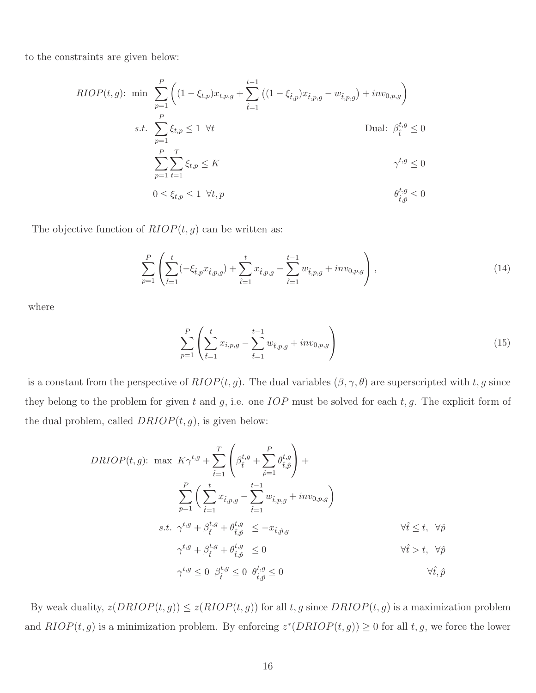to the constraints are given below:

$$
RIOP(t,g): \min \sum_{p=1}^{P} \left( (1 - \xi_{t,p}) x_{t,p,g} + \sum_{\hat{t}=1}^{t-1} \left( (1 - \xi_{\hat{t},p}) x_{\hat{t},p,g} - w_{\hat{t},p,g} \right) + inv_{0,p,g} \right)
$$
  
s.t. 
$$
\sum_{p=1}^{P} \xi_{t,p} \le 1 \ \forall t
$$
 Dual:  $\beta_{\hat{t}}^{t,g} \le 0$   

$$
\sum_{p=1}^{P} \sum_{t=1}^{T} \xi_{t,p} \le K
$$

$$
\gamma^{t,g} \le 0
$$
  
 $0 \le \xi_{t,p} \le 1 \ \forall t, p$ 
$$
\theta_{\hat{t},\hat{p}}^{t,g} \le 0
$$

The objective function of  $RIOP(t, g)$  can be written as:

$$
\sum_{p=1}^{P} \left( \sum_{\hat{t}=1}^{t} (-\xi_{\hat{t},p} x_{\hat{t},p,g}) + \sum_{\hat{t}=1}^{t} x_{\hat{t},p,g} - \sum_{\hat{t}=1}^{t-1} w_{\hat{t},p,g} + inv_{0,p,g} \right), \tag{14}
$$

where

$$
\sum_{p=1}^{P} \left( \sum_{\hat{t}=1}^{t} x_{i,p,g} - \sum_{\hat{t}=1}^{t-1} w_{\hat{t},p,g} + inv_{0,p,g} \right)
$$
 (15)

is a constant from the perspective of  $RIOP(t, g)$ . The dual variables  $(\beta, \gamma, \theta)$  are superscripted with t, g since they belong to the problem for given t and  $g$ , i.e. one  $IOP$  must be solved for each  $t, g$ . The explicit form of the dual problem, called  $DRIOP(t, g)$ , is given below:

$$
DRIOP(t,g): \max K \gamma^{t,g} + \sum_{\hat{t}=1}^{T} \left( \beta_{\hat{t}}^{t,g} + \sum_{\hat{p}=1}^{P} \theta_{\hat{t},\hat{p}}^{t,g} \right) +
$$
  

$$
\sum_{p=1}^{P} \left( \sum_{\hat{t}=1}^{t} x_{\hat{t},p,g} - \sum_{\hat{t}=1}^{t-1} w_{\hat{t},p,g} + inv_{0,p,g} \right)
$$
  
s.t.  $\gamma^{t,g} + \beta_{\hat{t}}^{t,g} + \theta_{\hat{t},\hat{p}}^{t,g} \leq -x_{\hat{t},\hat{p},g}$   $\forall \hat{t} \leq t, \forall \hat{p}$   

$$
\gamma^{t,g} + \beta_{\hat{t}}^{t,g} + \theta_{\hat{t},\hat{p}}^{t,g} \leq 0
$$
  
 $\gamma^{t,g} \leq 0 \beta_{\hat{t}}^{t,g} \leq 0 \theta_{\hat{t},\hat{p}}^{t,g} \leq 0$   $\forall \hat{t} > t, \forall \hat{p}$ 

By weak duality,  $z(DRIOP(t, g)) \leq z(RIOP(t, g))$  for all t, g since  $DRIOP(t, g)$  is a maximization problem and  $RIOP(t, g)$  is a minimization problem. By enforcing  $z^*(DRIOP(t, g)) \geq 0$  for all  $t, g$ , we force the lower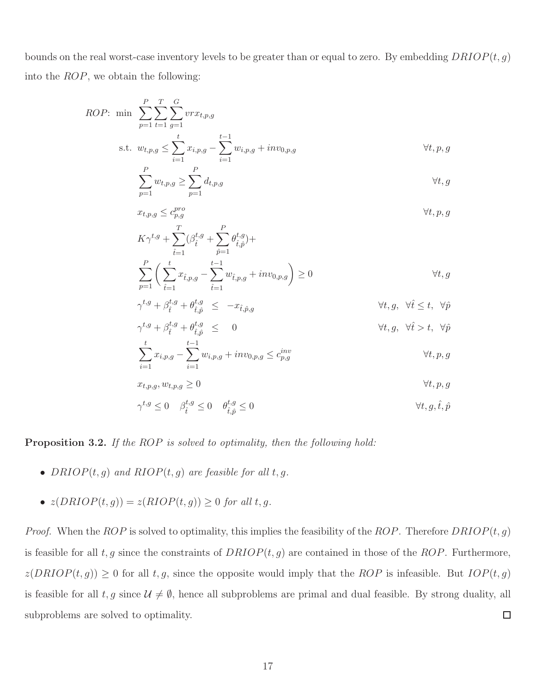bounds on the real worst-case inventory levels to be greater than or equal to zero. By embedding  $DRIOP(t, g)$ into the ROP, we obtain the following:

*ROP*: min 
$$
\sum_{p=1}^{P} \sum_{t=1}^{T} \sum_{g=1}^{G} vrx_{t,p,g}
$$
  
s.t.  $w_{t,p,g} \le \sum_{i=1}^{t} x_{i,p,g} - \sum_{i=1}^{t-1} w_{i,p,g} + inv_{0,p,g}$   $\forall t, p, g$ 

$$
\sum_{p=1} w_{t,p,g} \ge \sum_{p=1} d_{t,p,g} \qquad \qquad \forall t,g
$$

$$
x_{t,p,g} \le c_{p,g}^{pro} \qquad \forall t, p, g
$$
  
\n
$$
K\gamma^{t,g} + \sum_{\hat{t}=1}^{T} (\beta_{\hat{t}}^{t,g} + \sum_{\hat{p}=1}^{P} \theta_{\hat{t},\hat{p}}^{t,g}) +
$$
  
\n
$$
\sum_{p=1}^{P} \left( \sum_{\hat{t}=1}^{t} x_{\hat{t},p,g} - \sum_{\hat{t}=1}^{t-1} w_{\hat{t},p,g} + inv_{0,p,g} \right) \ge 0 \qquad \forall t, g
$$

$$
\gamma^{t,g} + \beta_t^{t,g} + \theta_{\hat{t},\hat{p}}^{t,g} \leq -x_{\hat{t},\hat{p},g} \qquad \forall t, g, \ \forall \hat{t} \leq t, \ \forall \hat{p}
$$

$$
\gamma^{t,g} + \beta^{t,g}_{\hat{t}} + \theta^{t,g}_{\hat{t},\hat{p}} \leq 0 \qquad \forall t, g, \forall \hat{t} > t, \forall \hat{p}
$$

$$
\sum_{i=1} x_{i,p,g} - \sum_{i=1} w_{i,p,g} + inv_{0,p,g} \le c_{p,g}^{inv} \qquad \forall t, p, g
$$

$$
x_{t,p,g}, w_{t,p,g} \ge 0 \qquad \qquad \forall t, p, g
$$

$$
\gamma^{t,g} \le 0 \quad \beta^{t,g}_{\hat{t}} \le 0 \quad \theta^{t,g}_{\hat{t},\hat{p}} \le 0 \qquad \qquad \forall t, g, \hat{t}, \hat{p}
$$

Proposition 3.2. *If the* ROP *is solved to optimality, then the following hold:*

- $DRIOP(t, g)$  *and*  $RIOP(t, g)$  *are feasible for all*  $t, g$ *.*
- $z(DRIOP(t, g)) = z(RIOP(t, g)) \geq 0$  *for all t, g.*

*Proof.* When the  $ROP$  is solved to optimality, this implies the feasibility of the  $ROP$ . Therefore  $DRIOP(t, g)$ is feasible for all t, g since the constraints of  $DRIOP(t, g)$  are contained in those of the ROP. Furthermore,  $z(DRIOP(t, g)) \geq 0$  for all t, g, since the opposite would imply that the ROP is infeasible. But  $IOP(t, g)$ is feasible for all  $t, g$  since  $\mathcal{U} \neq \emptyset$ , hence all subproblems are primal and dual feasible. By strong duality, all subproblems are solved to optimality.  $\Box$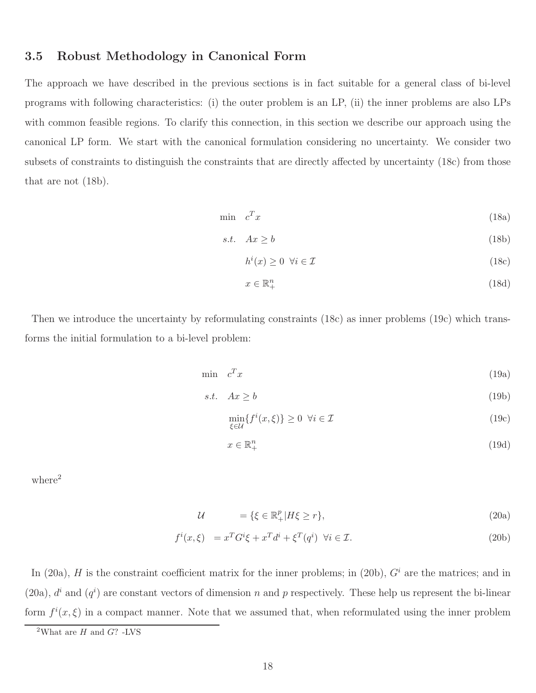### 3.5 Robust Methodology in Canonical Form

The approach we have described in the previous sections is in fact suitable for a general class of bi-level programs with following characteristics: (i) the outer problem is an LP, (ii) the inner problems are also LPs with common feasible regions. To clarify this connection, in this section we describe our approach using the canonical LP form. We start with the canonical formulation considering no uncertainty. We consider two subsets of constraints to distinguish the constraints that are directly affected by uncertainty (18c) from those that are not (18b).

$$
\min \quad c^T x \tag{18a}
$$

$$
s.t. \quad Ax \ge b \tag{18b}
$$

$$
h^i(x) \ge 0 \quad \forall i \in \mathcal{I} \tag{18c}
$$

$$
x \in \mathbb{R}_+^n \tag{18d}
$$

Then we introduce the uncertainty by reformulating constraints (18c) as inner problems (19c) which transforms the initial formulation to a bi-level problem:

$$
\min \quad c^T x \tag{19a}
$$

$$
s.t. \quad Ax \ge b \tag{19b}
$$

$$
\min_{\xi \in \mathcal{U}} \{ f^i(x, \xi) \} \ge 0 \ \forall i \in \mathcal{I}
$$
\n(19c)

$$
x \in \mathbb{R}_+^n \tag{19d}
$$

 $where<sup>2</sup>$ 

$$
\mathcal{U} = \{ \xi \in \mathbb{R}_+^p | H\xi \ge r \},\tag{20a}
$$

$$
f^{i}(x,\xi) = x^{T}G^{i}\xi + x^{T}d^{i} + \xi^{T}(q^{i}) \quad \forall i \in \mathcal{I}.
$$
\n(20b)

In (20a),  $H$  is the constraint coefficient matrix for the inner problems; in (20b),  $G<sup>i</sup>$  are the matrices; and in (20a),  $d^{i}$  and  $(q^{i})$  are constant vectors of dimension n and p respectively. These help us represent the bi-linear form  $f^{i}(x,\xi)$  in a compact manner. Note that we assumed that, when reformulated using the inner problem

<sup>&</sup>lt;sup>2</sup>What are  $H$  and  $G$ ? -LVS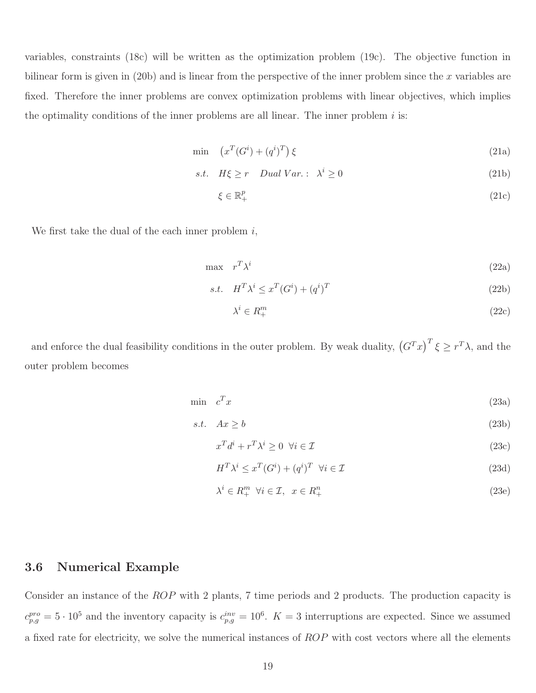variables, constraints (18c) will be written as the optimization problem (19c). The objective function in bilinear form is given in  $(20b)$  and is linear from the perspective of the inner problem since the x variables are fixed. Therefore the inner problems are convex optimization problems with linear objectives, which implies the optimality conditions of the inner problems are all linear. The inner problem  $i$  is:

$$
\min \quad \left( x^T (G^i) + (q^i)^T \right) \xi \tag{21a}
$$

$$
s.t. \quad H\xi \ge r \quad Dual \; Var. : \; \lambda^i \ge 0 \tag{21b}
$$

$$
\xi \in \mathbb{R}_+^p \tag{21c}
$$

We first take the dual of the each inner problem  $i$ ,

$$
\max \quad r^T \lambda^i \tag{22a}
$$

$$
s.t. \quad H^T \lambda^i \le x^T (G^i) + (q^i)^T \tag{22b}
$$

$$
\lambda^i \in R^m_+\tag{22c}
$$

and enforce the dual feasibility conditions in the outer problem. By weak duality,  $(G^T x)^T \xi \geq r^T \lambda$ , and the outer problem becomes

$$
\min \quad c^T x \tag{23a}
$$

$$
s.t. \quad Ax \ge b \tag{23b}
$$

$$
x^T d^i + r^T \lambda^i \ge 0 \quad \forall i \in \mathcal{I}
$$
\n
$$
(23c)
$$

$$
H^T \lambda^i \le x^T (G^i) + (q^i)^T \quad \forall i \in \mathcal{I}
$$
\n
$$
(23d)
$$

$$
\lambda^i \in R_+^m \ \forall i \in \mathcal{I}, \ x \in R_+^n \tag{23e}
$$

#### 3.6 Numerical Example

Consider an instance of the ROP with 2 plants, 7 time periods and 2 products. The production capacity is  $c_{p,g}^{pro} = 5 \cdot 10^5$  and the inventory capacity is  $c_{p,g}^{inv} = 10^6$ .  $K = 3$  interruptions are expected. Since we assumed a fixed rate for electricity, we solve the numerical instances of ROP with cost vectors where all the elements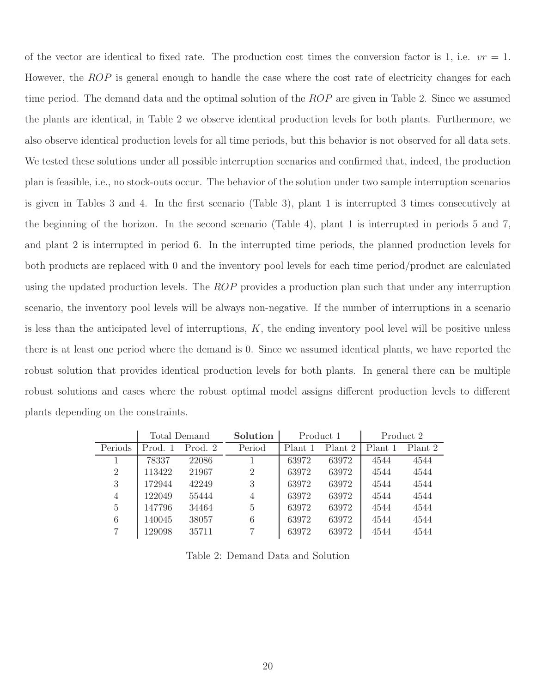of the vector are identical to fixed rate. The production cost times the conversion factor is 1, i.e.  $vr = 1$ . However, the ROP is general enough to handle the case where the cost rate of electricity changes for each time period. The demand data and the optimal solution of the  $ROP$  are given in Table 2. Since we assumed the plants are identical, in Table 2 we observe identical production levels for both plants. Furthermore, we also observe identical production levels for all time periods, but this behavior is not observed for all data sets. We tested these solutions under all possible interruption scenarios and confirmed that, indeed, the production plan is feasible, i.e., no stock-outs occur. The behavior of the solution under two sample interruption scenarios is given in Tables 3 and 4. In the first scenario (Table 3), plant 1 is interrupted 3 times consecutively at the beginning of the horizon. In the second scenario (Table 4), plant 1 is interrupted in periods 5 and 7, and plant 2 is interrupted in period 6. In the interrupted time periods, the planned production levels for both products are replaced with 0 and the inventory pool levels for each time period/product are calculated using the updated production levels. The  $ROP$  provides a production plan such that under any interruption scenario, the inventory pool levels will be always non-negative. If the number of interruptions in a scenario is less than the anticipated level of interruptions,  $K$ , the ending inventory pool level will be positive unless there is at least one period where the demand is 0. Since we assumed identical plants, we have reported the robust solution that provides identical production levels for both plants. In general there can be multiple robust solutions and cases where the robust optimal model assigns different production levels to different plants depending on the constraints.

|                | Total Demand |         | Solution       | Product 1 |         |         | Product 2 |
|----------------|--------------|---------|----------------|-----------|---------|---------|-----------|
| Periods        | Prod. 1      | Prod. 2 | Period         | Plant 1   | Plant 2 | Plant 1 | Plant 2   |
|                | 78337        | 22086   |                | 63972     | 63972   | 4544    | 4544      |
| $\overline{2}$ | 113422       | 21967   | $\overline{2}$ | 63972     | 63972   | 4544    | 4544      |
| 3              | 172944       | 42249   | 3              | 63972     | 63972   | 4544    | 4544      |
| 4              | 122049       | 55444   | 4              | 63972     | 63972   | 4544    | 4544      |
| 5              | 147796       | 34464   | $\overline{5}$ | 63972     | 63972   | 4544    | 4544      |
| 6              | 140045       | 38057   | 6              | 63972     | 63972   | 4544    | 4544      |
| 7              | 129098       | 35711   |                | 63972     | 63972   | 4544    | 4544      |

Table 2: Demand Data and Solution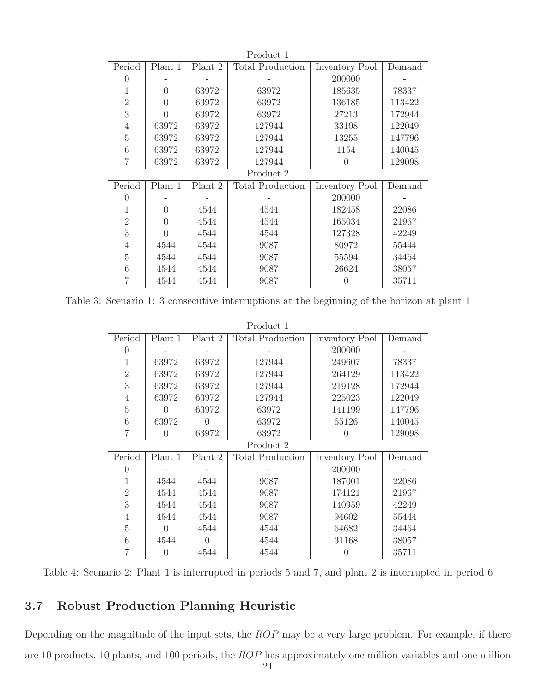| Product 1       |          |         |                         |                |        |  |  |  |  |
|-----------------|----------|---------|-------------------------|----------------|--------|--|--|--|--|
| Period          | Plant 1  | Plant 2 | <b>Total Production</b> | Inventory Pool | Demand |  |  |  |  |
| $\theta$        |          |         |                         | 200000         |        |  |  |  |  |
| 1               | $\Omega$ | 63972   | 63972                   | 185635         | 78337  |  |  |  |  |
| $\overline{2}$  | $\theta$ | 63972   | 63972                   | 136185         | 113422 |  |  |  |  |
| 3               | $\Omega$ | 63972   | 63972                   | 27213          | 172944 |  |  |  |  |
| $\overline{4}$  | 63972    | 63972   | 127944                  | 33108          | 122049 |  |  |  |  |
| $\overline{5}$  | 63972    | 63972   | 127944                  | 13255          | 147796 |  |  |  |  |
| $6\phantom{.}6$ | 63972    | 63972   | 127944                  | 1154           | 140045 |  |  |  |  |
| $\overline{7}$  | 63972    | 63972   | 127944                  | $\Omega$       | 129098 |  |  |  |  |
|                 |          |         | Product 2               |                |        |  |  |  |  |
| Period          | Plant 1  | Plant 2 | Total Production        | Inventory Pool | Demand |  |  |  |  |
| $\theta$        |          |         |                         | 200000         |        |  |  |  |  |
| 1               | $\theta$ | 4544    | 4544                    | 182458         | 22086  |  |  |  |  |
| $\overline{2}$  | $\Omega$ | 4544    | 4544                    | 165034         | 21967  |  |  |  |  |
| 3               | $\Omega$ | 4544    | 4544                    | 127328         | 42249  |  |  |  |  |
| $\overline{4}$  | 4544     | 4544    | 9087                    | 80972          | 55444  |  |  |  |  |
| $\overline{5}$  | 4544     | 4544    | 9087                    | 55594          | 34464  |  |  |  |  |
| 6               | 4544     | 4544    | 9087                    | 26624          | 38057  |  |  |  |  |
| 7               | 4544     | 4544    | 9087                    | $\theta$       | 35711  |  |  |  |  |

Table 3: Scenario 1: 3 consecutive interruptions at the beginning of the horizon at plant 1

| Product 1      |                    |          |                         |                  |        |  |  |  |  |
|----------------|--------------------|----------|-------------------------|------------------|--------|--|--|--|--|
| Period         | Plant 1<br>Plant 2 |          | <b>Total Production</b> | Inventory Pool   | Demand |  |  |  |  |
| $\Omega$       |                    |          |                         | 200000           |        |  |  |  |  |
| 1              | 63972              | 63972    | 127944                  | 249607           | 78337  |  |  |  |  |
| $\overline{2}$ | 63972              | 63972    | 127944                  | 264129           | 113422 |  |  |  |  |
| 3              | 63972              | 63972    | 127944                  | 219128           | 172944 |  |  |  |  |
| 4              | 63972              | 63972    | 127944                  | 225023           | 122049 |  |  |  |  |
| 5              | $\Omega$           | 63972    | 63972                   | 141199           | 147796 |  |  |  |  |
| 6              | 63972              | 0        | 63972                   | 65126            | 140045 |  |  |  |  |
| $\overline{7}$ | 0                  | 63972    | 63972                   |                  | 129098 |  |  |  |  |
|                |                    |          | Product 2               |                  |        |  |  |  |  |
| Period         | Plant 1            | Plant 2  | Total Production        | Inventory Pool   | Demand |  |  |  |  |
| $\Omega$       |                    |          |                         | 200000           |        |  |  |  |  |
| 1              | 4544               | 4544     | 9087                    | 187001           | 22086  |  |  |  |  |
| $\overline{2}$ | 4544               | 4544     | 9087                    | 174121           | 21967  |  |  |  |  |
| 3              | 4544               | 4544     | 9087                    | 140959           | 42249  |  |  |  |  |
| 4              | 4544               | 4544     | 9087                    | 94602            | 55444  |  |  |  |  |
| $\overline{5}$ | $\Omega$           | 4544     | 4544                    | 64682            | 34464  |  |  |  |  |
| 6              | 4544               | $\theta$ | 4544                    | 31168            | 38057  |  |  |  |  |
|                | $\theta$           | 4544     | 4544                    | $\left( \right)$ | 35711  |  |  |  |  |

Table 4: Scenario 2: Plant 1 is interrupted in periods 5 and 7, and plant 2 is interrupted in period 6

## 3.7 Robust Production Planning Heuristic

Depending on the magnitude of the input sets, the ROP may be a very large problem. For example, if there are 10 products, 10 plants, and 100 periods, the ROP has approximately one million variables and one million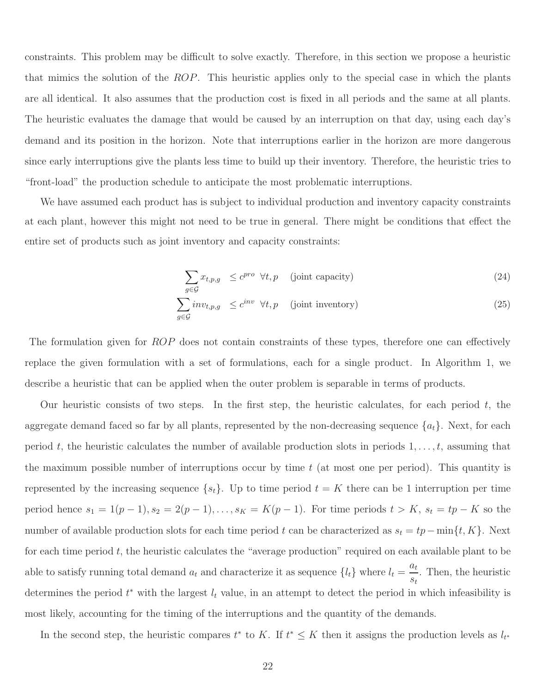constraints. This problem may be difficult to solve exactly. Therefore, in this section we propose a heuristic that mimics the solution of the ROP. This heuristic applies only to the special case in which the plants are all identical. It also assumes that the production cost is fixed in all periods and the same at all plants. The heuristic evaluates the damage that would be caused by an interruption on that day, using each day's demand and its position in the horizon. Note that interruptions earlier in the horizon are more dangerous since early interruptions give the plants less time to build up their inventory. Therefore, the heuristic tries to "front-load" the production schedule to anticipate the most problematic interruptions.

We have assumed each product has is subject to individual production and inventory capacity constraints at each plant, however this might not need to be true in general. There might be conditions that effect the entire set of products such as joint inventory and capacity constraints:

$$
\sum_{g \in \mathcal{G}} x_{t,p,g} \le c^{pro} \forall t, p \quad \text{(joint capacity)}\tag{24}
$$

$$
\sum_{g \in \mathcal{G}} inv_{t,p,g} \le c^{inv} \ \forall t, p \quad \text{(joint inventory)} \tag{25}
$$

The formulation given for ROP does not contain constraints of these types, therefore one can effectively replace the given formulation with a set of formulations, each for a single product. In Algorithm 1, we describe a heuristic that can be applied when the outer problem is separable in terms of products.

Our heuristic consists of two steps. In the first step, the heuristic calculates, for each period  $t$ , the aggregate demand faced so far by all plants, represented by the non-decreasing sequence  $\{a_t\}$ . Next, for each period t, the heuristic calculates the number of available production slots in periods  $1, \ldots, t$ , assuming that the maximum possible number of interruptions occur by time  $t$  (at most one per period). This quantity is represented by the increasing sequence  $\{s_t\}$ . Up to time period  $t = K$  there can be 1 interruption per time period hence  $s_1 = 1(p-1), s_2 = 2(p-1), \ldots, s_K = K(p-1)$ . For time periods  $t > K$ ,  $s_t = tp - K$  so the number of available production slots for each time period t can be characterized as  $s_t = tp - \min\{t, K\}$ . Next for each time period  $t$ , the heuristic calculates the "average production" required on each available plant to be able to satisfy running total demand  $a_t$  and characterize it as sequence  $\{l_t\}$  where  $l_t =$  $a_t$  $\frac{\alpha_t}{s_t}$ . Then, the heuristic determines the period  $t^*$  with the largest  $l_t$  value, in an attempt to detect the period in which infeasibility is most likely, accounting for the timing of the interruptions and the quantity of the demands.

In the second step, the heuristic compares  $t^*$  to K. If  $t^* \leq K$  then it assigns the production levels as  $l_{t^*}$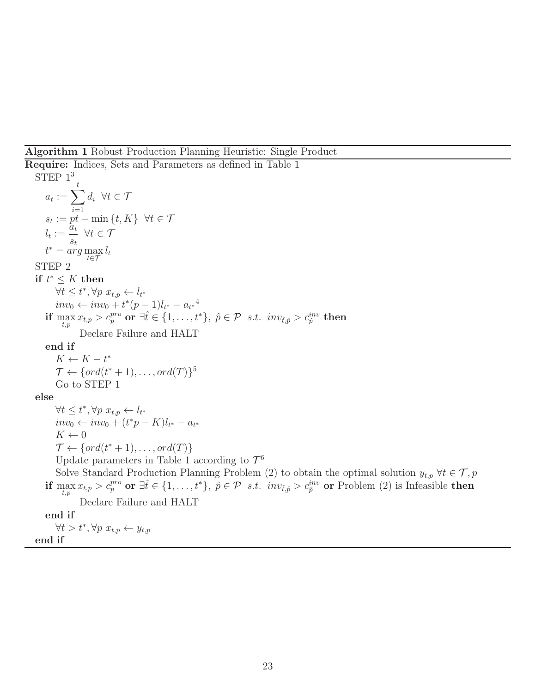#### Algorithm 1 Robust Production Planning Heuristic: Single Product

Require: Indices, Sets and Parameters as defined in Table 1 STEP  $1<sup>3</sup>$  $a_t := \sum$ t  $i=1$  $d_i \ \forall t \in \mathcal{T}$  $s_t := pt - \min\{t, K\} \ \ \forall t \in \mathcal{T}$  $l_t := \frac{a_t}{t}$  $s_t$  $\forall t \in \mathcal{T}$  $t^* = \arg\max_{t \in \mathcal{T}} l_t$ STEP 2 if  $t^* \leq K$  then  $\forall t \leq t^*, \forall p \; x_{t,p} \leftarrow l_{t^*}$  $inv_0 \leftarrow inv_0 + t^*(p-1)l_{t^*} - {a_{t^*}}^4$  $\inf\limits_{t,p} \max x_{t,p} > c_p^{pro} \textbf{ or } \exists \hat{t} \in \{1,\ldots,t^*\}, \; \hat{p} \in \mathcal{P} \; \; s.t. \; \; inv_{\hat{t},\hat{p}} > c_{\hat{p}}^{inv} \textbf{ then }$ Declare Failure and HALT end if  $K \leftarrow K - t^*$  $\mathcal{T} \leftarrow \{ord(t^*+1), \ldots, ord(T)\}^5$ Go to STEP 1 else  $\forall t \leq t^*, \forall p \; x_{t,p} \leftarrow l_{t^*}$  $inv_0 \leftarrow inv_0 + (t^*p - K)l_{t^*} - a_{t^*}$  $K \leftarrow 0$  $\mathcal{T} \leftarrow \{ord(t^*+1), \ldots, ord(T)\}$ Update parameters in Table 1 according to  $\mathcal{T}^6$ Solve Standard Production Planning Problem (2) to obtain the optimal solution  $y_{t,p}$   $\forall t \in \mathcal{T}, p$ if  $\max_{t,p} x_{t,p} > c_p^{pro}$  or  $\exists \hat{t} \in \{1,\ldots,t^*\}, \ \hat{p} \in \mathcal{P}$  s.t.  $inv_{\hat{t},\hat{p}} > c_{\hat{p}}^{inv}$  or Problem (2) is Infeasible then t,p Declare Failure and HALT end if  $\forall t > t^*, \forall p \; x_{t,p} \leftarrow y_{t,p}$ 

end if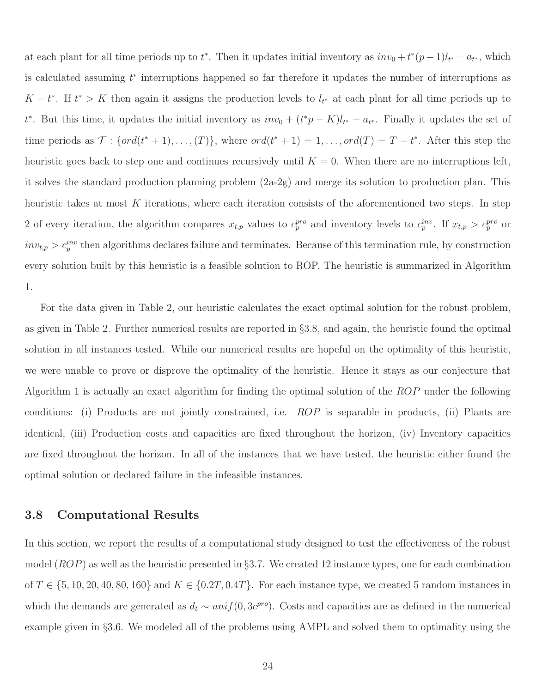at each plant for all time periods up to  $t^*$ . Then it updates initial inventory as  $inv_0 + t^*(p-1)l_{t^*} - a_{t^*}$ , which is calculated assuming  $t^*$  interruptions happened so far therefore it updates the number of interruptions as  $K-t^*$ . If  $t^* > K$  then again it assigns the production levels to  $l_{t^*}$  at each plant for all time periods up to  $t^*$ . But this time, it updates the initial inventory as  $inv_0 + (t^*p - K)l_{t^*} - a_{t^*}$ . Finally it updates the set of time periods as  $\mathcal{T}: \{ord(t^*+1),..., (T)\},$  where  $ord(t^*+1) = 1,..., ord(T) = T - t^*$ . After this step the heuristic goes back to step one and continues recursively until  $K = 0$ . When there are no interruptions left, it solves the standard production planning problem (2a-2g) and merge its solution to production plan. This heuristic takes at most K iterations, where each iteration consists of the aforementioned two steps. In step 2 of every iteration, the algorithm compares  $x_{t,p}$  values to  $c_p^{pro}$  and inventory levels to  $c_p^{inv}$ . If  $x_{t,p} > c_p^{pro}$  or  $inv_{t,p} > c_p^{inv}$  then algorithms declares failure and terminates. Because of this termination rule, by construction every solution built by this heuristic is a feasible solution to ROP. The heuristic is summarized in Algorithm 1.

For the data given in Table 2, our heuristic calculates the exact optimal solution for the robust problem, as given in Table 2. Further numerical results are reported in §3.8, and again, the heuristic found the optimal solution in all instances tested. While our numerical results are hopeful on the optimality of this heuristic, we were unable to prove or disprove the optimality of the heuristic. Hence it stays as our conjecture that Algorithm 1 is actually an exact algorithm for finding the optimal solution of the ROP under the following conditions: (i) Products are not jointly constrained, i.e. ROP is separable in products, (ii) Plants are identical, (iii) Production costs and capacities are fixed throughout the horizon, (iv) Inventory capacities are fixed throughout the horizon. In all of the instances that we have tested, the heuristic either found the optimal solution or declared failure in the infeasible instances.

#### 3.8 Computational Results

In this section, we report the results of a computational study designed to test the effectiveness of the robust model  $(ROP)$  as well as the heuristic presented in §3.7. We created 12 instance types, one for each combination of  $T \in \{5, 10, 20, 40, 80, 160\}$  and  $K \in \{0.2T, 0.4T\}$ . For each instance type, we created 5 random instances in which the demands are generated as  $d_t \sim unif(0, 3c^{pro})$ . Costs and capacities are as defined in the numerical example given in §3.6. We modeled all of the problems using AMPL and solved them to optimality using the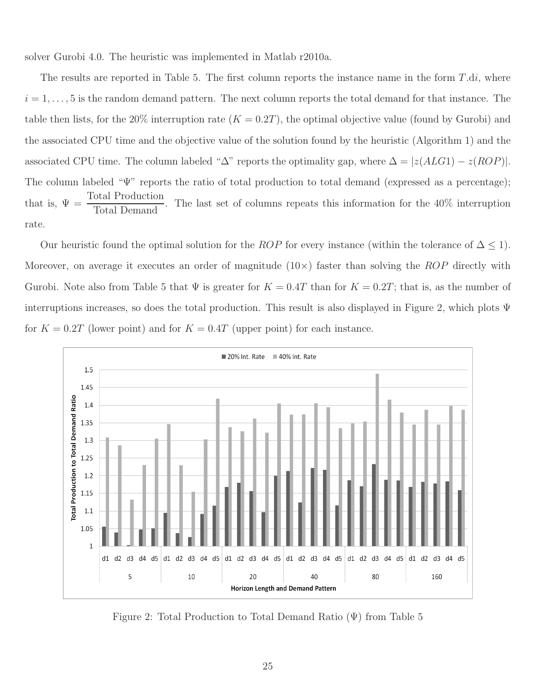solver Gurobi 4.0. The heuristic was implemented in Matlab r2010a.

The results are reported in Table 5. The first column reports the instance name in the form  $T.di$ , where  $i = 1, \ldots, 5$  is the random demand pattern. The next column reports the total demand for that instance. The table then lists, for the 20% interruption rate  $(K = 0.2T)$ , the optimal objective value (found by Gurobi) and the associated CPU time and the objective value of the solution found by the heuristic (Algorithm 1) and the associated CPU time. The column labeled " $\Delta$ " reports the optimality gap, where  $\Delta = |z(ALGI) - z(ROP)|$ . The column labeled "Ψ" reports the ratio of total production to total demand (expressed as a percentage); that is,  $\Psi = \frac{\text{Total Production}}{\text{Total De} \times \text{L}}$ <u>Fourth Requirect of</u>. The last set of columns repeats this information for the 40% interruption Total Demand rate.

Our heuristic found the optimal solution for the *ROP* for every instance (within the tolerance of  $\Delta \leq 1$ ). Moreover, on average it executes an order of magnitude  $(10\times)$  faster than solving the ROP directly with Gurobi. Note also from Table 5 that  $\Psi$  is greater for  $K = 0.4T$  than for  $K = 0.2T$ ; that is, as the number of interruptions increases, so does the total production. This result is also displayed in Figure 2, which plots Ψ for  $K = 0.2T$  (lower point) and for  $K = 0.4T$  (upper point) for each instance.



Figure 2: Total Production to Total Demand Ratio (Ψ) from Table 5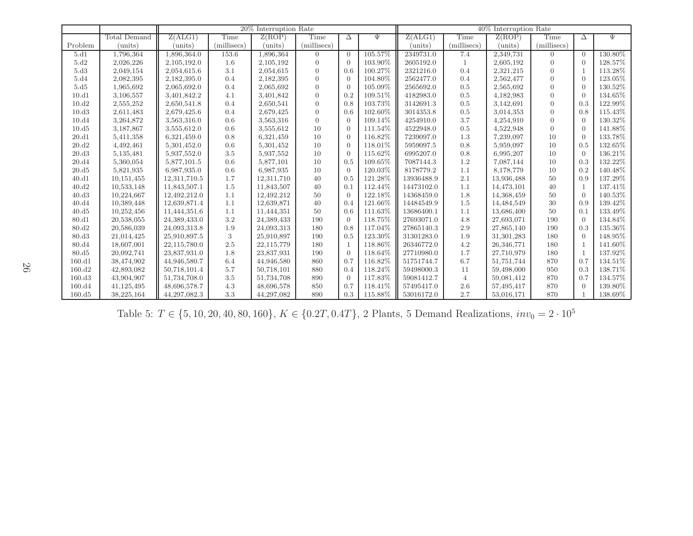|                   |                     | 20% Interruption Rate |             |            |                | 40% Interruption Rate |         |            |                |            |                |                |         |
|-------------------|---------------------|-----------------------|-------------|------------|----------------|-----------------------|---------|------------|----------------|------------|----------------|----------------|---------|
|                   | <b>Total Demand</b> | Z(ALG1)               | Time        | Z(ROP)     | Time           | Δ                     | $\Psi$  | Z(ALG1)    | Time           | Z(ROP)     | Time           | Δ              | Ψ       |
| Problem           | (units)             | (units)               | (millisecs) | (units)    | (millisecs)    |                       |         | (units)    | (millisecs)    | (units)    | (millisecs)    |                |         |
| 5.d1              | 1,796,364           | 1,896,364.0           | 153.6       | 1,896,364  | $\overline{0}$ | $\overline{0}$        | 105.57% | 2349731.0  | 7.4            | 2,349,731  | $\overline{0}$ | $\Omega$       | 130.80% |
| 5.d2              | 2,026,226           | 2,105,192.0           | 1.6         | 2,105,192  | $\overline{0}$ | $\Omega$              | 103.90% | 2605192.0  | $\mathbf{1}$   | 2,605,192  | $\Omega$       | $\Omega$       | 128.57% |
| 5.d3              | 2,049,154           | 2,054,615.6           | 3.1         | 2,054,615  | $\mathbf{0}$   | 0.6                   | 100.27% | 2321216.0  | 0.4            | 2,321,215  | $\overline{0}$ | $\overline{1}$ | 113.28% |
| 5.d4              | 2,082,395           | 2,182,395.0           | 0.4         | 2,182,395  | $\overline{0}$ | $\Omega$              | 104.80% | 2562477.0  | 0.4            | 2,562,477  | $\Omega$       | $\Omega$       | 123.05% |
| 5.d5              | 1,965,692           | 2,065,692.0           | 0.4         | 2,065,692  | $\overline{0}$ | $\Omega$              | 105.09% | 2565692.0  | 0.5            | 2,565,692  | $\Omega$       | $\Omega$       | 130.52% |
| 10.d1             | 3,106,557           | 3,401,842.2           | 4.1         | 3,401,842  | $\overline{0}$ | 0.2                   | 109.51% | 4182983.0  | 0.5            | 4,182,983  | $\Omega$       | $\Omega$       | 134.65% |
| 10.d2             | 2,555,252           | 2,650,541.8           | 0.4         | 2,650,541  | $\overline{0}$ | 0.8                   | 103.73% | 3142691.3  | 0.5            | 3,142,691  | $\Omega$       | 0.3            | 122.99% |
| 10.d3             | 2,611,483           | 2,679,425.6           | 0.4         | 2,679,425  | $\mathbf{0}$   | 0.6                   | 102.60% | 3014353.8  | 0.5            | 3,014,353  | $\overline{0}$ | 0.8            | 115.43% |
| 10.d4             | 3,264,872           | 3,563,316.0           | 0.6         | 3,563,316  | $\overline{0}$ | $\Omega$              | 109.14% | 4254910.0  | 3.7            | 4,254,910  | $\Omega$       | $\Omega$       | 130.32% |
| 10.d5             | 3,187,867           | 3,555,612.0           | 0.6         | 3,555,612  | 10             | $\Omega$              | 111.54% | 4522948.0  | 0.5            | 4,522,948  | $\Omega$       | $\Omega$       | 141.88% |
| 20.d1             | 5,411,358           | 6,321,459.0           | 0.8         | 6,321,459  | 10             | $\Omega$              | 116.82% | 7239097.0  | 1.3            | 7,239,097  | 10             | $\Omega$       | 133.78% |
| 20.d2             | 4,492,461           | 5,301,452.0           | 0.6         | 5,301,452  | 10             | $\Omega$              | 118.01% | 5959097.5  | 0.8            | 5,959,097  | 10             | 0.5            | 132.65% |
| 20.d3             | 5,135,481           | 5,937,552.0           | 3.5         | 5,937,552  | 10             | $\Omega$              | 115.62% | 6995207.0  | 0.8            | 6,995,207  | 10             | $\Omega$       | 136.21% |
| 20.d4             | 5,360,054           | 5,877,101.5           | 0.6         | 5,877,101  | 10             | 0.5                   | 109.65% | 7087144.3  | 1.2            | 7,087,144  | 10             | 0.3            | 132.22% |
| 20.d5             | 5,821,935           | 6,987,935.0           | 0.6         | 6,987,935  | 10             | $\Omega$              | 120.03% | 8178779.2  | 1.1            | 8,178,779  | 10             | 0.2            | 140.48% |
| 40.d1             | 10,151,455          | 12,311,710.5          | 1.7         | 12,311,710 | 40             | 0.5                   | 121.28% | 13936488.9 | 2.1            | 13,936,488 | 50             | 0.9            | 137.29% |
| 40.d2             | 10,533,148          | 11,843,507.1          | 1.5         | 11,843,507 | 40             | 0.1                   | 112.44% | 14473102.0 | 1.1            | 14,473,101 | 40             | $\overline{1}$ | 137.41% |
| 40.d3             | 10,224,667          | 12,492,212.0          | 1.1         | 12,492,212 | 50             | $\Omega$              | 122.18% | 14368459.0 | 1.8            | 14,368,459 | 50             | $\Omega$       | 140.53% |
| 40.d4             | 10,389,448          | 12,639,871.4          | 1.1         | 12,639,871 | 40             | 0.4                   | 121.66% | 14484549.9 | 1.5            | 14,484,549 | 30             | 0.9            | 139.42% |
| 40.d5             | 10,252,456          | 11,444,351.6          | 1.1         | 11,444,351 | 50             | 0.6                   | 111.63% | 13686400.1 | 1.1            | 13,686,400 | 50             | 0.1            | 133.49% |
| 80.d1             | 20,538,055          | 24,389,433.0          | 3.2         | 24,389,433 | 190            | $\Omega$              | 118.75% | 27693071.0 | 4.8            | 27,693,071 | 190            | $\Omega$       | 134.84% |
| 80.d2             | 20,586,039          | 24,093,313.8          | 1.9         | 24,093,313 | 180            | 0.8                   | 117.04% | 27865140.3 | 2.9            | 27,865,140 | 190            | 0.3            | 135.36% |
| 80.d <sub>3</sub> | 21,014,425          | 25,910,897.5          | 3           | 25,910,897 | 190            | 0.5                   | 123.30% | 31301283.0 | 1.9            | 31,301,283 | 180            | $\Omega$       | 148.95% |
| 80.d4             | 18,607,001          | 22,115,780.0          | 2.5         | 22,115,779 | 180            | $\overline{1}$        | 118.86% | 26346772.0 | 4.2            | 26,346,771 | 180            | $\overline{1}$ | 141.60% |
| 80. d5            | 20,092,741          | 23,837,931.0          | 1.8         | 23,837,931 | 190            | $\Omega$              | 118.64% | 27710980.0 | 1.7            | 27,710,979 | 180            | $\overline{1}$ | 137.92% |
| 160.d1            | 38,474,902          | 44,946,580.7          | 6.4         | 44,946,580 | 860            | 0.7                   | 116.82% | 51751744.7 | 6.7            | 51,751,744 | 870            | 0.7            | 134.51% |
| 160.d2            | 42,893,082          | 50,718,101.4          | 5.7         | 50,718,101 | 880            | 0.4                   | 118.24% | 59498000.3 | 11             | 59,498,000 | 950            | 0.3            | 138.71% |
| 160.d3            | 43,904,907          | 51,734,708.0          | 3.5         | 51,734,708 | 890            | $\Omega$              | 117.83% | 59081412.7 | $\overline{4}$ | 59,081,412 | 870            | 0.7            | 134.57% |
| 160.d4            | 41,125,495          | 48,696,578.7          | 4.3         | 48,696,578 | 850            | 0.7                   | 118.41% | 57495417.0 | 2.6            | 57,495,417 | 870            | $\Omega$       | 139.80% |
| 160. d5           | 38,225,164          | 44, 297, 082.3        | 3.3         | 44,297,082 | 890            | 0.3                   | 115.88% | 53016172.0 | 2.7            | 53,016,171 | 870            |                | 138.69% |

Table 5:  $T \in \{5, 10, 20, 40, 80, 160\}, K \in \{0.2T, 0.4T\}, 2$  Plants, 5 Demand Realizations,  $inv_0 = 2 \cdot 10^5$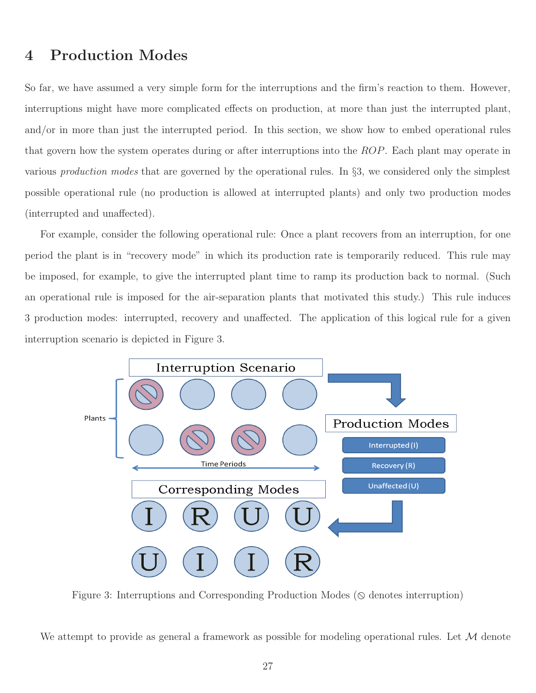## 4 Production Modes

So far, we have assumed a very simple form for the interruptions and the firm's reaction to them. However, interruptions might have more complicated effects on production, at more than just the interrupted plant, and/or in more than just the interrupted period. In this section, we show how to embed operational rules that govern how the system operates during or after interruptions into the ROP. Each plant may operate in various *production modes* that are governed by the operational rules. In §3, we considered only the simplest possible operational rule (no production is allowed at interrupted plants) and only two production modes (interrupted and unaffected).

For example, consider the following operational rule: Once a plant recovers from an interruption, for one period the plant is in "recovery mode" in which its production rate is temporarily reduced. This rule may be imposed, for example, to give the interrupted plant time to ramp its production back to normal. (Such an operational rule is imposed for the air-separation plants that motivated this study.) This rule induces 3 production modes: interrupted, recovery and unaffected. The application of this logical rule for a given interruption scenario is depicted in Figure 3.



Figure 3: Interruptions and Corresponding Production Modes ( $\Diamond$  denotes interruption)

We attempt to provide as general a framework as possible for modeling operational rules. Let  $\mathcal M$  denote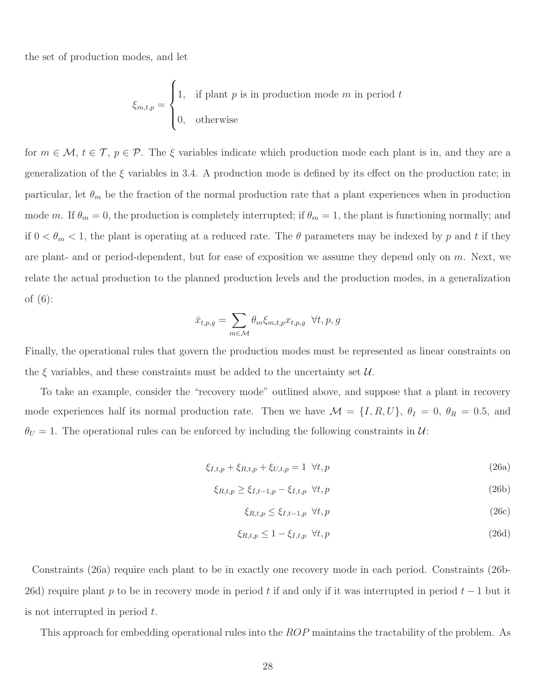the set of production modes, and let

$$
\xi_{m,t,p} = \begin{cases} 1, & \text{if plant } p \text{ is in production mode } m \text{ in period } t \\ 0, & \text{otherwise} \end{cases}
$$

for  $m \in \mathcal{M}, t \in \mathcal{T}, p \in \mathcal{P}$ . The  $\xi$  variables indicate which production mode each plant is in, and they are a generalization of the  $\xi$  variables in 3.4. A production mode is defined by its effect on the production rate; in particular, let  $\theta_m$  be the fraction of the normal production rate that a plant experiences when in production mode m. If  $\theta_m = 0$ , the production is completely interrupted; if  $\theta_m = 1$ , the plant is functioning normally; and if  $0 < \theta_m < 1$ , the plant is operating at a reduced rate. The  $\theta$  parameters may be indexed by p and t if they are plant- and or period-dependent, but for ease of exposition we assume they depend only on  $m$ . Next, we relate the actual production to the planned production levels and the production modes, in a generalization of (6):

$$
\bar{x}_{t,p,g} = \sum_{m \in \mathcal{M}} \theta_m \xi_{m,t,p} x_{t,p,g} \ \forall t, p, g
$$

Finally, the operational rules that govern the production modes must be represented as linear constraints on the  $\xi$  variables, and these constraints must be added to the uncertainty set  $\mathcal{U}$ .

To take an example, consider the "recovery mode" outlined above, and suppose that a plant in recovery mode experiences half its normal production rate. Then we have  $\mathcal{M} = \{I, R, U\}$ ,  $\theta_I = 0$ ,  $\theta_R = 0.5$ , and  $\theta_U = 1$ . The operational rules can be enforced by including the following constraints in  $\mathcal{U}$ :

$$
\xi_{I,t,p} + \xi_{R,t,p} + \xi_{U,t,p} = 1 \ \forall t,p
$$
\n(26a)

$$
\xi_{R,t,p} \ge \xi_{I,t-1,p} - \xi_{I,t,p} \quad \forall t,p \tag{26b}
$$

$$
\xi_{R,t,p} \le \xi_{I,t-1,p} \quad \forall t,p \tag{26c}
$$

$$
\xi_{R,t,p} \le 1 - \xi_{I,t,p} \quad \forall t,p \tag{26d}
$$

Constraints (26a) require each plant to be in exactly one recovery mode in each period. Constraints (26b-26d) require plant p to be in recovery mode in period t if and only if it was interrupted in period  $t-1$  but it is not interrupted in period t.

This approach for embedding operational rules into the ROP maintains the tractability of the problem. As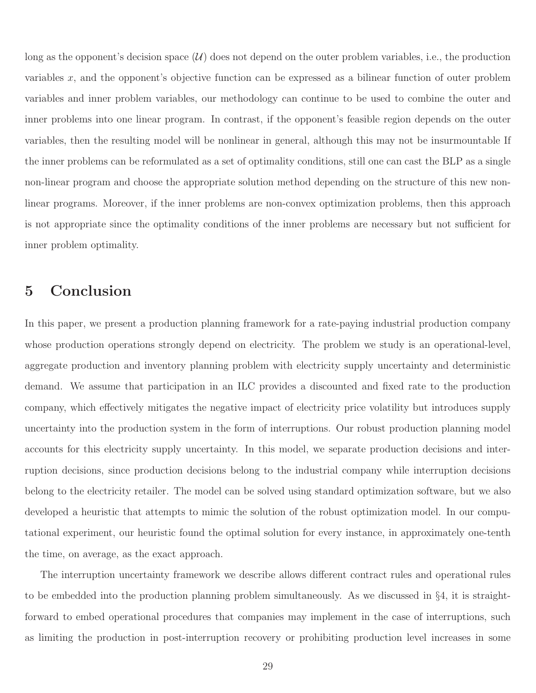long as the opponent's decision space  $(U)$  does not depend on the outer problem variables, i.e., the production variables x, and the opponent's objective function can be expressed as a bilinear function of outer problem variables and inner problem variables, our methodology can continue to be used to combine the outer and inner problems into one linear program. In contrast, if the opponent's feasible region depends on the outer variables, then the resulting model will be nonlinear in general, although this may not be insurmountable If the inner problems can be reformulated as a set of optimality conditions, still one can cast the BLP as a single non-linear program and choose the appropriate solution method depending on the structure of this new nonlinear programs. Moreover, if the inner problems are non-convex optimization problems, then this approach is not appropriate since the optimality conditions of the inner problems are necessary but not sufficient for inner problem optimality.

## 5 Conclusion

In this paper, we present a production planning framework for a rate-paying industrial production company whose production operations strongly depend on electricity. The problem we study is an operational-level, aggregate production and inventory planning problem with electricity supply uncertainty and deterministic demand. We assume that participation in an ILC provides a discounted and fixed rate to the production company, which effectively mitigates the negative impact of electricity price volatility but introduces supply uncertainty into the production system in the form of interruptions. Our robust production planning model accounts for this electricity supply uncertainty. In this model, we separate production decisions and interruption decisions, since production decisions belong to the industrial company while interruption decisions belong to the electricity retailer. The model can be solved using standard optimization software, but we also developed a heuristic that attempts to mimic the solution of the robust optimization model. In our computational experiment, our heuristic found the optimal solution for every instance, in approximately one-tenth the time, on average, as the exact approach.

The interruption uncertainty framework we describe allows different contract rules and operational rules to be embedded into the production planning problem simultaneously. As we discussed in §4, it is straightforward to embed operational procedures that companies may implement in the case of interruptions, such as limiting the production in post-interruption recovery or prohibiting production level increases in some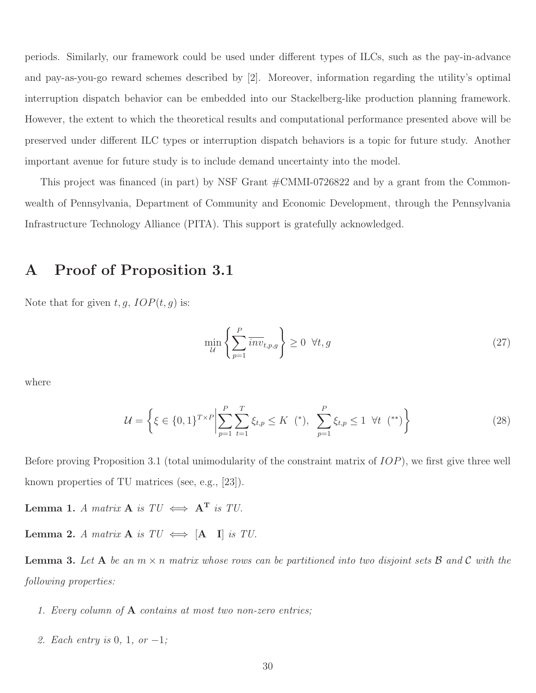periods. Similarly, our framework could be used under different types of ILCs, such as the pay-in-advance and pay-as-you-go reward schemes described by [2]. Moreover, information regarding the utility's optimal interruption dispatch behavior can be embedded into our Stackelberg-like production planning framework. However, the extent to which the theoretical results and computational performance presented above will be preserved under different ILC types or interruption dispatch behaviors is a topic for future study. Another important avenue for future study is to include demand uncertainty into the model.

This project was financed (in part) by NSF Grant #CMMI-0726822 and by a grant from the Commonwealth of Pennsylvania, Department of Community and Economic Development, through the Pennsylvania Infrastructure Technology Alliance (PITA). This support is gratefully acknowledged.

## A Proof of Proposition 3.1

Note that for given  $t, g, IOP(t, g)$  is:

$$
\min_{\mathcal{U}} \left\{ \sum_{p=1}^{P} \overline{inv}_{t,p,g} \right\} \ge 0 \quad \forall t, g \tag{27}
$$

where

$$
\mathcal{U} = \left\{ \xi \in \{0, 1\}^{T \times P} \middle| \sum_{p=1}^{P} \sum_{t=1}^{T} \xi_{t, p} \le K \ (*), \ \sum_{p=1}^{P} \xi_{t, p} \le 1 \ \forall t \ (*) \right\}
$$
 (28)

Before proving Proposition 3.1 (total unimodularity of the constraint matrix of IOP), we first give three well known properties of TU matrices (see, e.g., [23]).

Lemma 1. *A matrix* **A** *is*  $TU \iff A^T$  *is TU*.

Lemma 2. *A matrix* **A** *is*  $TU \iff [A \quad I]$  *is TU*.

Lemma 3. *Let* A *be an* m × n *matrix whose rows can be partitioned into two disjoint sets* B *and* C *with the following properties:*

- *1. Every column of* A *contains at most two non-zero entries;*
- *2. Each entry is* 0*,* 1*, or* −1*;*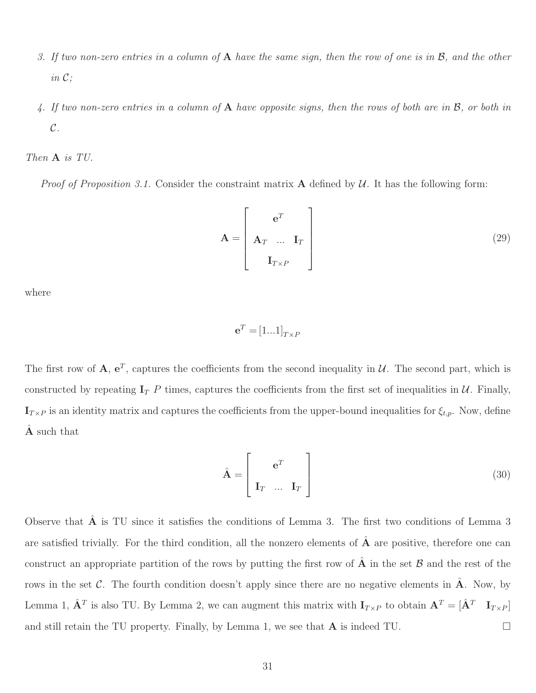- *3. If two non-zero entries in a column of* A *have the same sign, then the row of one is in* B*, and the other in* C*;*
- *4. If two non-zero entries in a column of* A *have opposite signs, then the rows of both are in* B*, or both in* C*.*

*Then* A *is TU.*

*Proof of Proposition 3.1.* Consider the constraint matrix  $\bf{A}$  defined by  $\cal{U}$ . It has the following form:

$$
\mathbf{A} = \begin{bmatrix} \mathbf{e}^T \\ \mathbf{A}_T & \dots & \mathbf{I}_T \\ \mathbf{I}_{T \times P} \end{bmatrix}
$$
 (29)

where

$$
\mathbf{e}^T = [1...1]_{T \times F}
$$

The first row of  $\mathbf{A}, \mathbf{e}^T$ , captures the coefficients from the second inequality in  $\mathcal{U}$ . The second part, which is constructed by repeating  $I_T$  P times, captures the coefficients from the first set of inequalities in U. Finally,  $\mathbf{I}_{T\times P}$  is an identity matrix and captures the coefficients from the upper-bound inequalities for  $\xi_{t,p}$ . Now, define A such that

$$
\hat{\mathbf{A}} = \begin{bmatrix} \mathbf{e}^T \\ \mathbf{I}_T & \dots & \mathbf{I}_T \end{bmatrix}
$$
 (30)

Observe that  $\hat{A}$  is TU since it satisfies the conditions of Lemma 3. The first two conditions of Lemma 3 are satisfied trivially. For the third condition, all the nonzero elements of  $\hat{A}$  are positive, therefore one can construct an appropriate partition of the rows by putting the first row of  $\hat{A}$  in the set  $B$  and the rest of the rows in the set C. The fourth condition doesn't apply since there are no negative elements in  $\hat{A}$ . Now, by Lemma 1,  $\hat{\mathbf{A}}^T$  is also TU. By Lemma 2, we can augment this matrix with  $\mathbf{I}_{T\times P}$  to obtain  $\mathbf{A}^T = [\hat{\mathbf{A}}^T \quad \mathbf{I}_{T\times P}]$ and still retain the TU property. Finally, by Lemma 1, we see that  $A$  is indeed TU.  $\Box$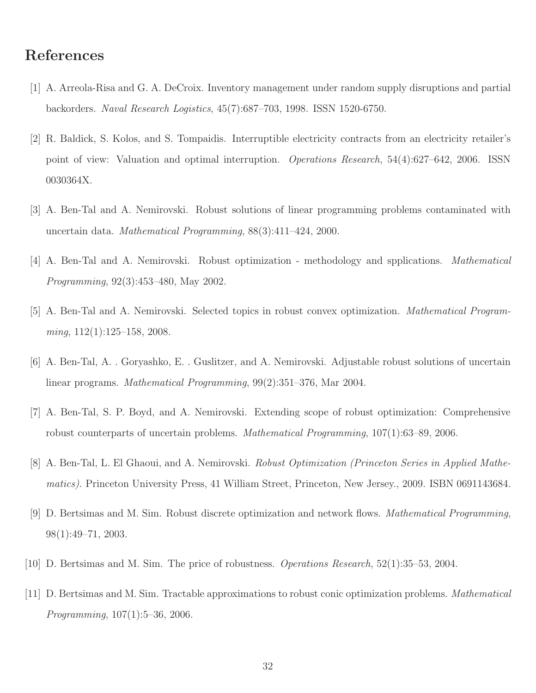## References

- [1] A. Arreola-Risa and G. A. DeCroix. Inventory management under random supply disruptions and partial backorders. *Naval Research Logistics*, 45(7):687–703, 1998. ISSN 1520-6750.
- [2] R. Baldick, S. Kolos, and S. Tompaidis. Interruptible electricity contracts from an electricity retailer's point of view: Valuation and optimal interruption. *Operations Research*, 54(4):627–642, 2006. ISSN 0030364X.
- [3] A. Ben-Tal and A. Nemirovski. Robust solutions of linear programming problems contaminated with uncertain data. *Mathematical Programming*, 88(3):411–424, 2000.
- [4] A. Ben-Tal and A. Nemirovski. Robust optimization methodology and spplications. *Mathematical Programming*, 92(3):453–480, May 2002.
- [5] A. Ben-Tal and A. Nemirovski. Selected topics in robust convex optimization. *Mathematical Programming*, 112(1):125–158, 2008.
- [6] A. Ben-Tal, A. . Goryashko, E. . Guslitzer, and A. Nemirovski. Adjustable robust solutions of uncertain linear programs. *Mathematical Programming*, 99(2):351–376, Mar 2004.
- [7] A. Ben-Tal, S. P. Boyd, and A. Nemirovski. Extending scope of robust optimization: Comprehensive robust counterparts of uncertain problems. *Mathematical Programming*, 107(1):63–89, 2006.
- [8] A. Ben-Tal, L. El Ghaoui, and A. Nemirovski. *Robust Optimization (Princeton Series in Applied Mathematics)*. Princeton University Press, 41 William Street, Princeton, New Jersey., 2009. ISBN 0691143684.
- [9] D. Bertsimas and M. Sim. Robust discrete optimization and network flows. *Mathematical Programming*, 98(1):49–71, 2003.
- [10] D. Bertsimas and M. Sim. The price of robustness. *Operations Research*, 52(1):35–53, 2004.
- [11] D. Bertsimas and M. Sim. Tractable approximations to robust conic optimization problems. *Mathematical Programming*, 107(1):5–36, 2006.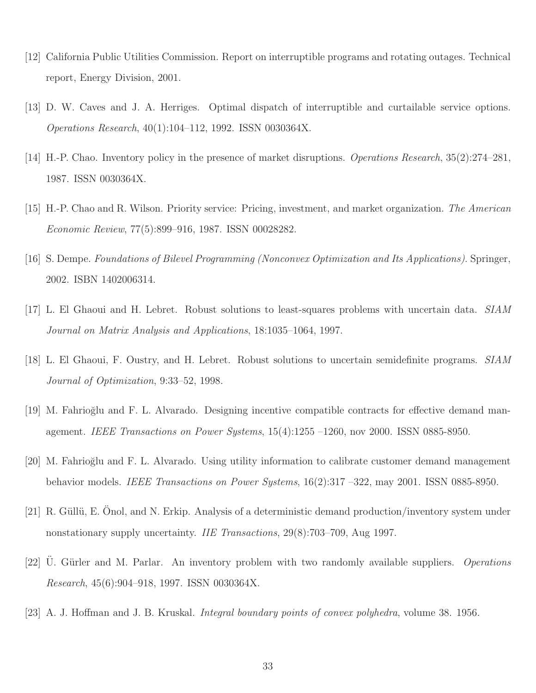- [12] California Public Utilities Commission. Report on interruptible programs and rotating outages. Technical report, Energy Division, 2001.
- [13] D. W. Caves and J. A. Herriges. Optimal dispatch of interruptible and curtailable service options. *Operations Research*, 40(1):104–112, 1992. ISSN 0030364X.
- [14] H.-P. Chao. Inventory policy in the presence of market disruptions. *Operations Research*, 35(2):274–281, 1987. ISSN 0030364X.
- [15] H.-P. Chao and R. Wilson. Priority service: Pricing, investment, and market organization. *The American Economic Review*, 77(5):899–916, 1987. ISSN 00028282.
- [16] S. Dempe. *Foundations of Bilevel Programming (Nonconvex Optimization and Its Applications)*. Springer, 2002. ISBN 1402006314.
- [17] L. El Ghaoui and H. Lebret. Robust solutions to least-squares problems with uncertain data. *SIAM Journal on Matrix Analysis and Applications*, 18:1035–1064, 1997.
- [18] L. El Ghaoui, F. Oustry, and H. Lebret. Robust solutions to uncertain semidefinite programs. *SIAM Journal of Optimization*, 9:33–52, 1998.
- [19] M. Fahrio˘glu and F. L. Alvarado. Designing incentive compatible contracts for effective demand management. *IEEE Transactions on Power Systems*, 15(4):1255 –1260, nov 2000. ISSN 0885-8950.
- [20] M. Fahrio˘glu and F. L. Alvarado. Using utility information to calibrate customer demand management behavior models. *IEEE Transactions on Power Systems*, 16(2):317 –322, may 2001. ISSN 0885-8950.
- [21] R. Güllü, E. Onol, and N. Erkip. Analysis of a deterministic demand production/inventory system under nonstationary supply uncertainty. *IIE Transactions*, 29(8):703–709, Aug 1997.
- [22] U. Gürler and M. Parlar. An inventory problem with two randomly available suppliers. *Operations Research*, 45(6):904–918, 1997. ISSN 0030364X.
- [23] A. J. Hoffman and J. B. Kruskal. *Integral boundary points of convex polyhedra*, volume 38. 1956.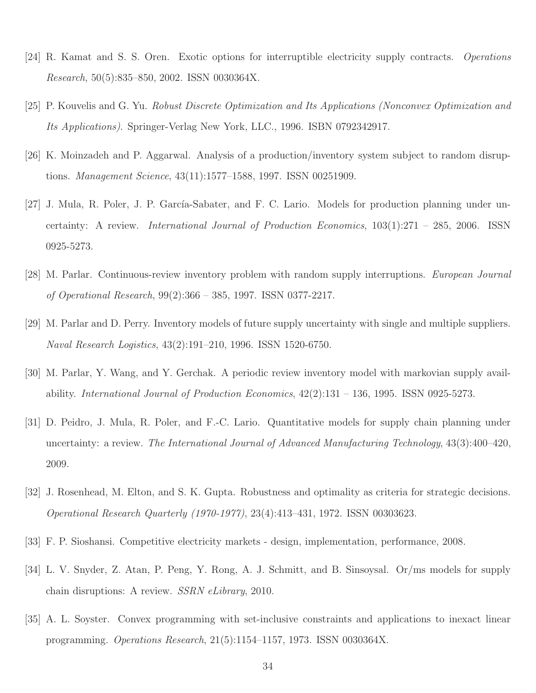- [24] R. Kamat and S. S. Oren. Exotic options for interruptible electricity supply contracts. *Operations Research*, 50(5):835–850, 2002. ISSN 0030364X.
- [25] P. Kouvelis and G. Yu. *Robust Discrete Optimization and Its Applications (Nonconvex Optimization and Its Applications)*. Springer-Verlag New York, LLC., 1996. ISBN 0792342917.
- [26] K. Moinzadeh and P. Aggarwal. Analysis of a production/inventory system subject to random disruptions. *Management Science*, 43(11):1577–1588, 1997. ISSN 00251909.
- [27] J. Mula, R. Poler, J. P. García-Sabater, and F. C. Lario. Models for production planning under uncertainty: A review. *International Journal of Production Economics*, 103(1):271 – 285, 2006. ISSN 0925-5273.
- [28] M. Parlar. Continuous-review inventory problem with random supply interruptions. *European Journal of Operational Research*, 99(2):366 – 385, 1997. ISSN 0377-2217.
- [29] M. Parlar and D. Perry. Inventory models of future supply uncertainty with single and multiple suppliers. *Naval Research Logistics*, 43(2):191–210, 1996. ISSN 1520-6750.
- [30] M. Parlar, Y. Wang, and Y. Gerchak. A periodic review inventory model with markovian supply availability. *International Journal of Production Economics*, 42(2):131 – 136, 1995. ISSN 0925-5273.
- [31] D. Peidro, J. Mula, R. Poler, and F.-C. Lario. Quantitative models for supply chain planning under uncertainty: a review. *The International Journal of Advanced Manufacturing Technology*, 43(3):400–420, 2009.
- [32] J. Rosenhead, M. Elton, and S. K. Gupta. Robustness and optimality as criteria for strategic decisions. *Operational Research Quarterly (1970-1977)*, 23(4):413–431, 1972. ISSN 00303623.
- [33] F. P. Sioshansi. Competitive electricity markets design, implementation, performance, 2008.
- [34] L. V. Snyder, Z. Atan, P. Peng, Y. Rong, A. J. Schmitt, and B. Sinsoysal. Or/ms models for supply chain disruptions: A review. *SSRN eLibrary*, 2010.
- [35] A. L. Soyster. Convex programming with set-inclusive constraints and applications to inexact linear programming. *Operations Research*, 21(5):1154–1157, 1973. ISSN 0030364X.